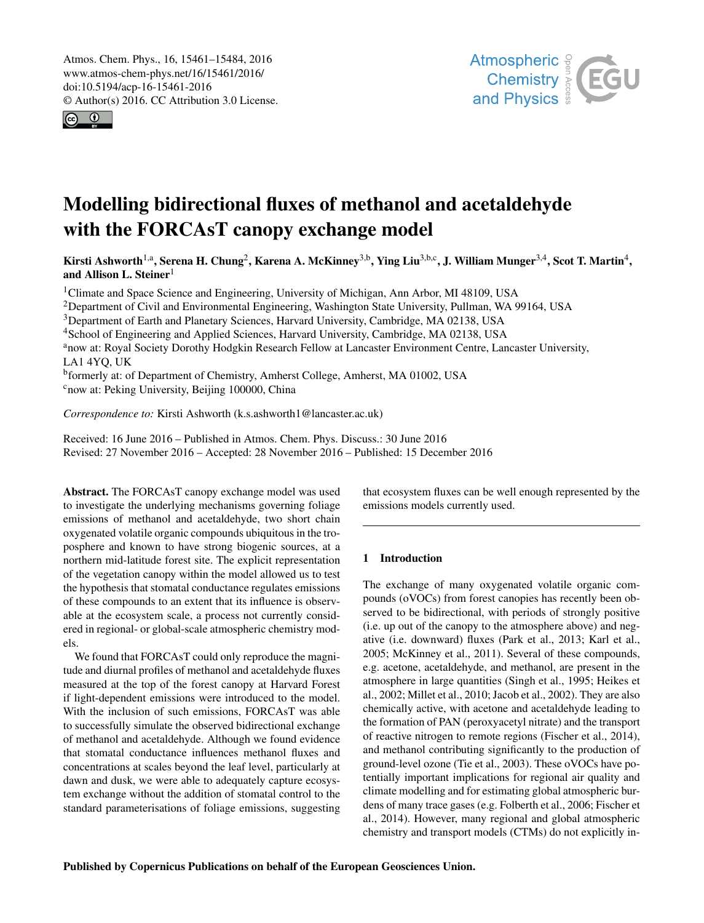<span id="page-0-1"></span>Atmos. Chem. Phys., 16, 15461–15484, 2016 www.atmos-chem-phys.net/16/15461/2016/ doi:10.5194/acp-16-15461-2016 © Author(s) 2016. CC Attribution 3.0 License.





# Modelling bidirectional fluxes of methanol and acetaldehyde with the FORCAsT canopy exchange model

Kirsti Ashworth<sup>[1,a](#page-0-0)</sup>, Serena H. Chung<sup>[2](#page-0-0)</sup>, Karena A. McKinney<sup>[3,b](#page-0-0)</sup>, Ying Liu<sup>[3,b,c](#page-0-0)</sup>, J. William Munger<sup>[3,4](#page-0-0)</sup>, Scot T. Martin<sup>[4](#page-0-0)</sup>, and Allison L. Steiner $<sup>1</sup>$  $<sup>1</sup>$  $<sup>1</sup>$ </sup>

<sup>1</sup>Climate and Space Science and Engineering, University of Michigan, Ann Arbor, MI 48109, USA <sup>2</sup>Department of Civil and Environmental Engineering, Washington State University, Pullman, WA 99164, USA <sup>3</sup>Department of Earth and Planetary Sciences, Harvard University, Cambridge, MA 02138, USA <sup>4</sup>School of Engineering and Applied Sciences, Harvard University, Cambridge, MA 02138, USA <sup>a</sup>now at: Royal Society Dorothy Hodgkin Research Fellow at Lancaster Environment Centre, Lancaster University, LA1 4YQ, UK <sup>b</sup>formerly at: of Department of Chemistry, Amherst College, Amherst, MA 01002, USA  $c$ now at: Peking University, Beijing 100000, China

*Correspondence to:* Kirsti Ashworth (k.s.ashworth1@lancaster.ac.uk)

Received: 16 June 2016 – Published in Atmos. Chem. Phys. Discuss.: 30 June 2016 Revised: 27 November 2016 – Accepted: 28 November 2016 – Published: 15 December 2016

<span id="page-0-0"></span>Abstract. The FORCAsT canopy exchange model was used to investigate the underlying mechanisms governing foliage emissions of methanol and acetaldehyde, two short chain oxygenated volatile organic compounds ubiquitous in the troposphere and known to have strong biogenic sources, at a northern mid-latitude forest site. The explicit representation of the vegetation canopy within the model allowed us to test the hypothesis that stomatal conductance regulates emissions of these compounds to an extent that its influence is observable at the ecosystem scale, a process not currently considered in regional- or global-scale atmospheric chemistry models.

We found that FORCAsT could only reproduce the magnitude and diurnal profiles of methanol and acetaldehyde fluxes measured at the top of the forest canopy at Harvard Forest if light-dependent emissions were introduced to the model. With the inclusion of such emissions, FORCAsT was able to successfully simulate the observed bidirectional exchange of methanol and acetaldehyde. Although we found evidence that stomatal conductance influences methanol fluxes and concentrations at scales beyond the leaf level, particularly at dawn and dusk, we were able to adequately capture ecosystem exchange without the addition of stomatal control to the standard parameterisations of foliage emissions, suggesting

that ecosystem fluxes can be well enough represented by the emissions models currently used.

# 1 Introduction

The exchange of many oxygenated volatile organic compounds (oVOCs) from forest canopies has recently been observed to be bidirectional, with periods of strongly positive (i.e. up out of the canopy to the atmosphere above) and negative (i.e. downward) fluxes (Park et al., 2013; Karl et al., 2005; McKinney et al., 2011). Several of these compounds, e.g. acetone, acetaldehyde, and methanol, are present in the atmosphere in large quantities (Singh et al., 1995; Heikes et al., 2002; Millet et al., 2010; Jacob et al., 2002). They are also chemically active, with acetone and acetaldehyde leading to the formation of PAN (peroxyacetyl nitrate) and the transport of reactive nitrogen to remote regions (Fischer et al., 2014), and methanol contributing significantly to the production of ground-level ozone (Tie et al., 2003). These oVOCs have potentially important implications for regional air quality and climate modelling and for estimating global atmospheric burdens of many trace gases (e.g. Folberth et al., 2006; Fischer et al., 2014). However, many regional and global atmospheric chemistry and transport models (CTMs) do not explicitly in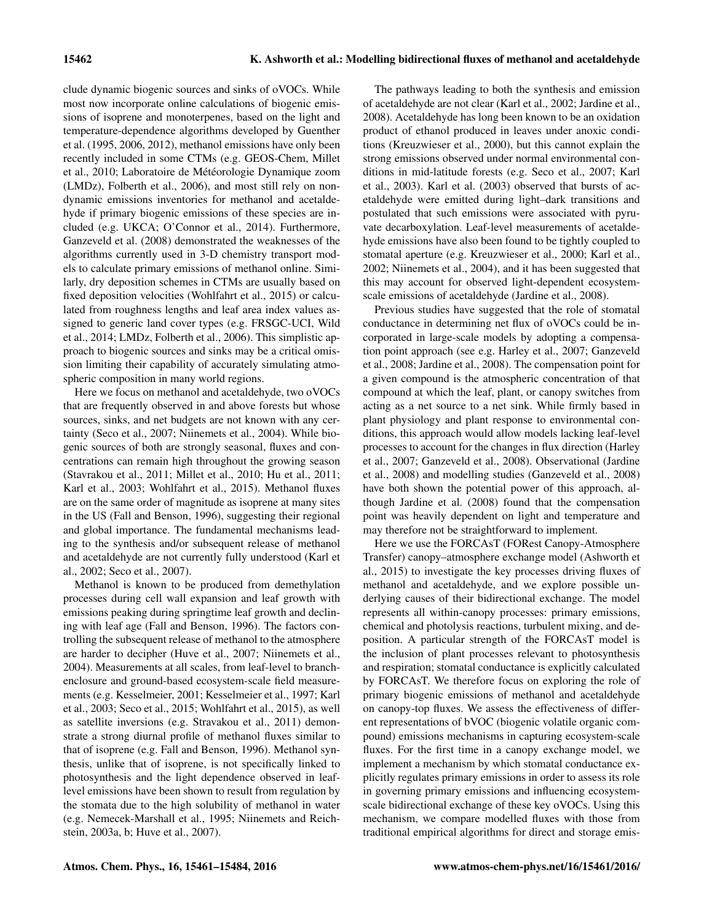clude dynamic biogenic sources and sinks of oVOCs. While most now incorporate online calculations of biogenic emissions of isoprene and monoterpenes, based on the light and temperature-dependence algorithms developed by Guenther et al. (1995, 2006, 2012), methanol emissions have only been recently included in some CTMs (e.g. GEOS-Chem, Millet et al., 2010; Laboratoire de Météorologie Dynamique zoom (LMDz), Folberth et al., 2006), and most still rely on nondynamic emissions inventories for methanol and acetaldehyde if primary biogenic emissions of these species are included (e.g. UKCA; O'Connor et al., 2014). Furthermore, Ganzeveld et al. (2008) demonstrated the weaknesses of the algorithms currently used in 3-D chemistry transport models to calculate primary emissions of methanol online. Similarly, dry deposition schemes in CTMs are usually based on fixed deposition velocities (Wohlfahrt et al., 2015) or calculated from roughness lengths and leaf area index values assigned to generic land cover types (e.g. FRSGC-UCI, Wild et al., 2014; LMDz, Folberth et al., 2006). This simplistic approach to biogenic sources and sinks may be a critical omission limiting their capability of accurately simulating atmospheric composition in many world regions.

Here we focus on methanol and acetaldehyde, two oVOCs that are frequently observed in and above forests but whose sources, sinks, and net budgets are not known with any certainty (Seco et al., 2007; Niinemets et al., 2004). While biogenic sources of both are strongly seasonal, fluxes and concentrations can remain high throughout the growing season (Stavrakou et al., 2011; Millet et al., 2010; Hu et al., 2011; Karl et al., 2003; Wohlfahrt et al., 2015). Methanol fluxes are on the same order of magnitude as isoprene at many sites in the US (Fall and Benson, 1996), suggesting their regional and global importance. The fundamental mechanisms leading to the synthesis and/or subsequent release of methanol and acetaldehyde are not currently fully understood (Karl et al., 2002; Seco et al., 2007).

Methanol is known to be produced from demethylation processes during cell wall expansion and leaf growth with emissions peaking during springtime leaf growth and declining with leaf age (Fall and Benson, 1996). The factors controlling the subsequent release of methanol to the atmosphere are harder to decipher (Huve et al., 2007; Niinemets et al., 2004). Measurements at all scales, from leaf-level to branchenclosure and ground-based ecosystem-scale field measurements (e.g. Kesselmeier, 2001; Kesselmeier et al., 1997; Karl et al., 2003; Seco et al., 2015; Wohlfahrt et al., 2015), as well as satellite inversions (e.g. Stravakou et al., 2011) demonstrate a strong diurnal profile of methanol fluxes similar to that of isoprene (e.g. Fall and Benson, 1996). Methanol synthesis, unlike that of isoprene, is not specifically linked to photosynthesis and the light dependence observed in leaflevel emissions have been shown to result from regulation by the stomata due to the high solubility of methanol in water (e.g. Nemecek-Marshall et al., 1995; Niinemets and Reichstein, 2003a, b; Huve et al., 2007).

The pathways leading to both the synthesis and emission of acetaldehyde are not clear (Karl et al., 2002; Jardine et al., 2008). Acetaldehyde has long been known to be an oxidation product of ethanol produced in leaves under anoxic conditions (Kreuzwieser et al., 2000), but this cannot explain the strong emissions observed under normal environmental conditions in mid-latitude forests (e.g. Seco et al., 2007; Karl et al., 2003). Karl et al. (2003) observed that bursts of acetaldehyde were emitted during light–dark transitions and postulated that such emissions were associated with pyruvate decarboxylation. Leaf-level measurements of acetaldehyde emissions have also been found to be tightly coupled to stomatal aperture (e.g. Kreuzwieser et al., 2000; Karl et al., 2002; Niinemets et al., 2004), and it has been suggested that this may account for observed light-dependent ecosystemscale emissions of acetaldehyde (Jardine et al., 2008).

Previous studies have suggested that the role of stomatal conductance in determining net flux of oVOCs could be incorporated in large-scale models by adopting a compensation point approach (see e.g. Harley et al., 2007; Ganzeveld et al., 2008; Jardine et al., 2008). The compensation point for a given compound is the atmospheric concentration of that compound at which the leaf, plant, or canopy switches from acting as a net source to a net sink. While firmly based in plant physiology and plant response to environmental conditions, this approach would allow models lacking leaf-level processes to account for the changes in flux direction (Harley et al., 2007; Ganzeveld et al., 2008). Observational (Jardine et al., 2008) and modelling studies (Ganzeveld et al., 2008) have both shown the potential power of this approach, although Jardine et al. (2008) found that the compensation point was heavily dependent on light and temperature and may therefore not be straightforward to implement.

Here we use the FORCAsT (FORest Canopy-Atmosphere Transfer) canopy–atmosphere exchange model (Ashworth et al., 2015) to investigate the key processes driving fluxes of methanol and acetaldehyde, and we explore possible underlying causes of their bidirectional exchange. The model represents all within-canopy processes: primary emissions, chemical and photolysis reactions, turbulent mixing, and deposition. A particular strength of the FORCAsT model is the inclusion of plant processes relevant to photosynthesis and respiration; stomatal conductance is explicitly calculated by FORCAsT. We therefore focus on exploring the role of primary biogenic emissions of methanol and acetaldehyde on canopy-top fluxes. We assess the effectiveness of different representations of bVOC (biogenic volatile organic compound) emissions mechanisms in capturing ecosystem-scale fluxes. For the first time in a canopy exchange model, we implement a mechanism by which stomatal conductance explicitly regulates primary emissions in order to assess its role in governing primary emissions and influencing ecosystemscale bidirectional exchange of these key oVOCs. Using this mechanism, we compare modelled fluxes with those from traditional empirical algorithms for direct and storage emis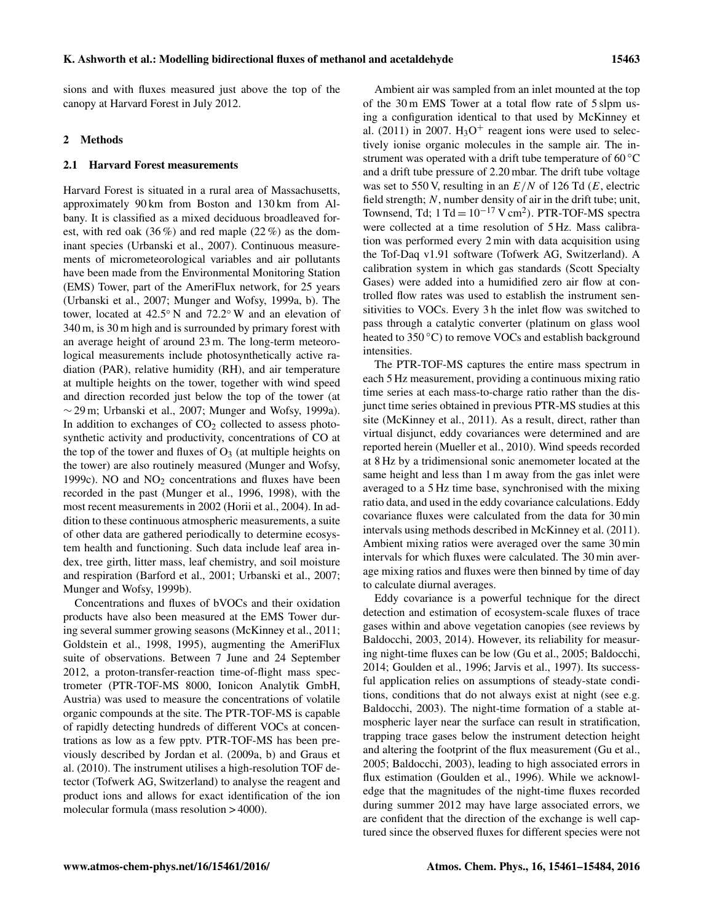sions and with fluxes measured just above the top of the canopy at Harvard Forest in July 2012.

# 2 Methods

# 2.1 Harvard Forest measurements

Harvard Forest is situated in a rural area of Massachusetts, approximately 90 km from Boston and 130 km from Albany. It is classified as a mixed deciduous broadleaved forest, with red oak (36 %) and red maple (22 %) as the dominant species (Urbanski et al., 2007). Continuous measurements of micrometeorological variables and air pollutants have been made from the Environmental Monitoring Station (EMS) Tower, part of the AmeriFlux network, for 25 years (Urbanski et al., 2007; Munger and Wofsy, 1999a, b). The tower, located at 42.5◦ N and 72.2◦ W and an elevation of 340 m, is 30 m high and is surrounded by primary forest with an average height of around 23 m. The long-term meteorological measurements include photosynthetically active radiation (PAR), relative humidity (RH), and air temperature at multiple heights on the tower, together with wind speed and direction recorded just below the top of the tower (at ∼ 29 m; Urbanski et al., 2007; Munger and Wofsy, 1999a). In addition to exchanges of  $CO<sub>2</sub>$  collected to assess photosynthetic activity and productivity, concentrations of CO at the top of the tower and fluxes of  $O_3$  (at multiple heights on the tower) are also routinely measured (Munger and Wofsy, 1999c). NO and  $NO<sub>2</sub>$  concentrations and fluxes have been recorded in the past (Munger et al., 1996, 1998), with the most recent measurements in 2002 (Horii et al., 2004). In addition to these continuous atmospheric measurements, a suite of other data are gathered periodically to determine ecosystem health and functioning. Such data include leaf area index, tree girth, litter mass, leaf chemistry, and soil moisture and respiration (Barford et al., 2001; Urbanski et al., 2007; Munger and Wofsy, 1999b).

Concentrations and fluxes of bVOCs and their oxidation products have also been measured at the EMS Tower during several summer growing seasons (McKinney et al., 2011; Goldstein et al., 1998, 1995), augmenting the AmeriFlux suite of observations. Between 7 June and 24 September 2012, a proton-transfer-reaction time-of-flight mass spectrometer (PTR-TOF-MS 8000, Ionicon Analytik GmbH, Austria) was used to measure the concentrations of volatile organic compounds at the site. The PTR-TOF-MS is capable of rapidly detecting hundreds of different VOCs at concentrations as low as a few pptv. PTR-TOF-MS has been previously described by Jordan et al. (2009a, b) and Graus et al. (2010). The instrument utilises a high-resolution TOF detector (Tofwerk AG, Switzerland) to analyse the reagent and product ions and allows for exact identification of the ion molecular formula (mass resolution > 4000).

Ambient air was sampled from an inlet mounted at the top of the 30 m EMS Tower at a total flow rate of 5 slpm using a configuration identical to that used by McKinney et al. (2011) in 2007.  $H_3O^+$  reagent ions were used to selectively ionise organic molecules in the sample air. The instrument was operated with a drift tube temperature of 60 °C and a drift tube pressure of 2.20 mbar. The drift tube voltage was set to 550 V, resulting in an  $E/N$  of 126 Td (E, electric field strength; N, number density of air in the drift tube; unit, Townsend, Td;  $1 \text{ Td} = 10^{-17} \text{ V cm}^2$ ). PTR-TOF-MS spectra were collected at a time resolution of 5 Hz. Mass calibration was performed every 2 min with data acquisition using the Tof-Daq v1.91 software (Tofwerk AG, Switzerland). A calibration system in which gas standards (Scott Specialty Gases) were added into a humidified zero air flow at controlled flow rates was used to establish the instrument sensitivities to VOCs. Every 3 h the inlet flow was switched to pass through a catalytic converter (platinum on glass wool heated to 350 °C) to remove VOCs and establish background intensities.

The PTR-TOF-MS captures the entire mass spectrum in each 5 Hz measurement, providing a continuous mixing ratio time series at each mass-to-charge ratio rather than the disjunct time series obtained in previous PTR-MS studies at this site (McKinney et al., 2011). As a result, direct, rather than virtual disjunct, eddy covariances were determined and are reported herein (Mueller et al., 2010). Wind speeds recorded at 8 Hz by a tridimensional sonic anemometer located at the same height and less than 1 m away from the gas inlet were averaged to a 5 Hz time base, synchronised with the mixing ratio data, and used in the eddy covariance calculations. Eddy covariance fluxes were calculated from the data for 30 min intervals using methods described in McKinney et al. (2011). Ambient mixing ratios were averaged over the same 30 min intervals for which fluxes were calculated. The 30 min average mixing ratios and fluxes were then binned by time of day to calculate diurnal averages.

Eddy covariance is a powerful technique for the direct detection and estimation of ecosystem-scale fluxes of trace gases within and above vegetation canopies (see reviews by Baldocchi, 2003, 2014). However, its reliability for measuring night-time fluxes can be low (Gu et al., 2005; Baldocchi, 2014; Goulden et al., 1996; Jarvis et al., 1997). Its successful application relies on assumptions of steady-state conditions, conditions that do not always exist at night (see e.g. Baldocchi, 2003). The night-time formation of a stable atmospheric layer near the surface can result in stratification, trapping trace gases below the instrument detection height and altering the footprint of the flux measurement (Gu et al., 2005; Baldocchi, 2003), leading to high associated errors in flux estimation (Goulden et al., 1996). While we acknowledge that the magnitudes of the night-time fluxes recorded during summer 2012 may have large associated errors, we are confident that the direction of the exchange is well captured since the observed fluxes for different species were not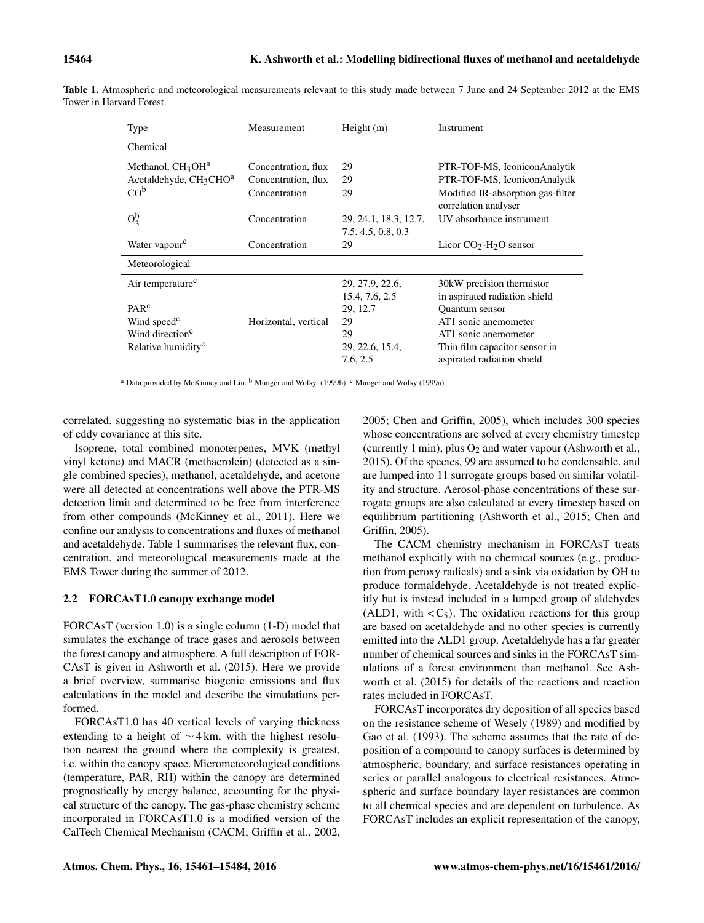| Type                                                                                                         | Measurement                                                 | Height $(m)$                                        | Instrument                                                                                                                    |  |
|--------------------------------------------------------------------------------------------------------------|-------------------------------------------------------------|-----------------------------------------------------|-------------------------------------------------------------------------------------------------------------------------------|--|
| Chemical                                                                                                     |                                                             |                                                     |                                                                                                                               |  |
| Methanol, $CH3OHa$<br>Acetaldehyde, $CH3CHOa$<br>CO <sup>b</sup>                                             | Concentration, flux<br>Concentration, flux<br>Concentration | 29<br>29<br>29                                      | PTR-TOF-MS, IconiconAnalytik<br>PTR-TOF-MS, IconiconAnalytik<br>Modified IR-absorption gas-filter                             |  |
| $O_3^b$                                                                                                      | Concentration                                               | 29, 24.1, 18.3, 12.7,<br>7.5, 4.5, 0.8, 0.3         | correlation analyser<br>UV absorbance instrument                                                                              |  |
| Water vapour <sup>c</sup>                                                                                    | Concentration                                               | 29                                                  | Licor $CO2$ -H <sub>2</sub> O sensor                                                                                          |  |
| Meteorological                                                                                               |                                                             |                                                     |                                                                                                                               |  |
| Air temperature <sup>c</sup>                                                                                 |                                                             | 29, 27.9, 22.6,<br>15.4, 7.6, 2.5                   | 30kW precision thermistor<br>in aspirated radiation shield                                                                    |  |
| PAR <sup>c</sup><br>Wind speed <sup>c</sup><br>Wind direction <sup>c</sup><br>Relative humidity <sup>c</sup> | Horizontal, vertical                                        | 29, 12.7<br>29<br>29<br>29, 22.6, 15.4,<br>7.6, 2.5 | Quantum sensor<br>AT1 sonic anemometer<br>AT1 sonic anemometer<br>Thin film capacitor sensor in<br>aspirated radiation shield |  |

Table 1. Atmospheric and meteorological measurements relevant to this study made between 7 June and 24 September 2012 at the EMS Tower in Harvard Forest.

<sup>a</sup> Data provided by McKinney and Liu. <sup>b</sup> Munger and Wofsy (1999b). <sup>c</sup> Munger and Wofsy (1999a).

correlated, suggesting no systematic bias in the application of eddy covariance at this site.

Isoprene, total combined monoterpenes, MVK (methyl vinyl ketone) and MACR (methacrolein) (detected as a single combined species), methanol, acetaldehyde, and acetone were all detected at concentrations well above the PTR-MS detection limit and determined to be free from interference from other compounds (McKinney et al., 2011). Here we confine our analysis to concentrations and fluxes of methanol and acetaldehyde. Table 1 summarises the relevant flux, concentration, and meteorological measurements made at the EMS Tower during the summer of 2012.

## 2.2 FORCAsT1.0 canopy exchange model

FORCAsT (version 1.0) is a single column (1-D) model that simulates the exchange of trace gases and aerosols between the forest canopy and atmosphere. A full description of FOR-CAsT is given in Ashworth et al. (2015). Here we provide a brief overview, summarise biogenic emissions and flux calculations in the model and describe the simulations performed.

FORCAsT1.0 has 40 vertical levels of varying thickness extending to a height of ∼ 4 km, with the highest resolution nearest the ground where the complexity is greatest, i.e. within the canopy space. Micrometeorological conditions (temperature, PAR, RH) within the canopy are determined prognostically by energy balance, accounting for the physical structure of the canopy. The gas-phase chemistry scheme incorporated in FORCAsT1.0 is a modified version of the CalTech Chemical Mechanism (CACM; Griffin et al., 2002, 2005; Chen and Griffin, 2005), which includes 300 species whose concentrations are solved at every chemistry timestep (currently 1 min), plus  $O_2$  and water vapour (Ashworth et al., 2015). Of the species, 99 are assumed to be condensable, and are lumped into 11 surrogate groups based on similar volatility and structure. Aerosol-phase concentrations of these surrogate groups are also calculated at every timestep based on equilibrium partitioning (Ashworth et al., 2015; Chen and Griffin, 2005).

The CACM chemistry mechanism in FORCAsT treats methanol explicitly with no chemical sources (e.g., production from peroxy radicals) and a sink via oxidation by OH to produce formaldehyde. Acetaldehyde is not treated explicitly but is instead included in a lumped group of aldehydes (ALD1, with  $\langle C_5 \rangle$ ). The oxidation reactions for this group are based on acetaldehyde and no other species is currently emitted into the ALD1 group. Acetaldehyde has a far greater number of chemical sources and sinks in the FORCAsT simulations of a forest environment than methanol. See Ashworth et al. (2015) for details of the reactions and reaction rates included in FORCAsT.

FORCAsT incorporates dry deposition of all species based on the resistance scheme of Wesely (1989) and modified by Gao et al. (1993). The scheme assumes that the rate of deposition of a compound to canopy surfaces is determined by atmospheric, boundary, and surface resistances operating in series or parallel analogous to electrical resistances. Atmospheric and surface boundary layer resistances are common to all chemical species and are dependent on turbulence. As FORCAsT includes an explicit representation of the canopy,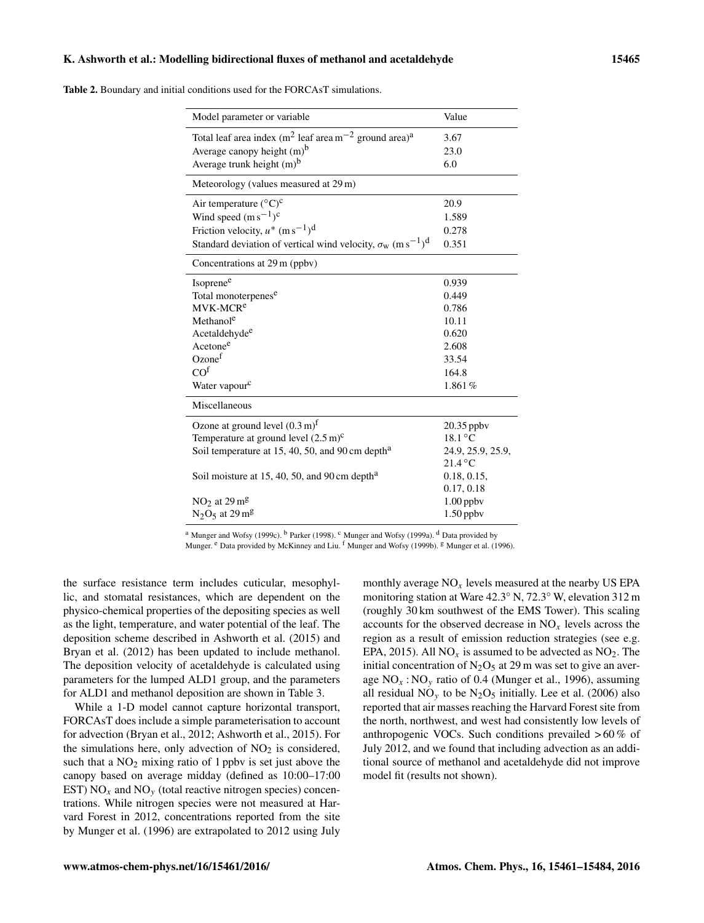## K. Ashworth et al.: Modelling bidirectional fluxes of methanol and acetaldehyde 15465

| Model parameter or variable                                                                | Value                      |
|--------------------------------------------------------------------------------------------|----------------------------|
| Total leaf area index (m <sup>2</sup> leaf area m <sup>-2</sup> ground area) <sup>a</sup>  | 3.67                       |
| Average canopy height $(m)^b$                                                              | 23.0                       |
| Average trunk height $(m)^b$                                                               | 6.0                        |
| Meteorology (values measured at 29 m)                                                      |                            |
| Air temperature $({}^{\circ}C)^{c}$                                                        | 20.9                       |
| Wind speed $(m s^{-1})^c$                                                                  | 1.589                      |
| Friction velocity, $u^*$ (m s <sup>-1</sup> ) <sup>d</sup>                                 | 0.278                      |
| Standard deviation of vertical wind velocity, $\sigma_w$ (m s <sup>-1</sup> ) <sup>d</sup> | 0.351                      |
| Concentrations at 29 m (ppbv)                                                              |                            |
| Isoprenee                                                                                  | 0.939                      |
| Total monoterpenes <sup>e</sup>                                                            | 0.449                      |
| MVK-MCR <sup>e</sup>                                                                       | 0.786                      |
| Methanol <sup>e</sup>                                                                      | 10.11                      |
| Acetaldehyde <sup>e</sup>                                                                  | 0.620                      |
| Acetone <sup>e</sup>                                                                       | 2.608                      |
| Ozone <sup>f</sup>                                                                         | 33.54                      |
| CO <sup>f</sup>                                                                            | 164.8                      |
| Water vapour <sup>c</sup>                                                                  | 1.861%                     |
| Miscellaneous                                                                              |                            |
| Ozone at ground level $(0.3 \text{ m})^f$                                                  | $20.35$ ppbv               |
| Temperature at ground level $(2.5 \text{ m})^c$                                            | $18.1\,^{\circ}\mathrm{C}$ |
| Soil temperature at 15, 40, 50, and 90 cm depth <sup>a</sup>                               | 24.9, 25.9, 25.9,          |
|                                                                                            | $21.4\degree$ C            |
| Soil moisture at 15, 40, 50, and 90 cm depth <sup>a</sup>                                  | 0.18, 0.15,                |
|                                                                                            | 0.17, 0.18                 |
| $NO2$ at 29 m <sup>g</sup>                                                                 | $1.00$ ppbv                |
| $N_2O_5$ at 29 m <sup>g</sup>                                                              | $1.50$ ppby                |

Table 2. Boundary and initial conditions used for the FORCAsT simulations.

<sup>a</sup> Munger and Wofsy (1999c).  $\frac{b}{c}$  Parker (1998). <sup>c</sup> Munger and Wofsy (1999a). <sup>d</sup> Data provided by

Munger. <sup>e</sup> Data provided by McKinney and Liu. <sup>f</sup> Munger and Wofsy (1999b). <sup>g</sup> Munger et al. (1996).

the surface resistance term includes cuticular, mesophyllic, and stomatal resistances, which are dependent on the physico-chemical properties of the depositing species as well as the light, temperature, and water potential of the leaf. The deposition scheme described in Ashworth et al. (2015) and Bryan et al. (2012) has been updated to include methanol. The deposition velocity of acetaldehyde is calculated using parameters for the lumped ALD1 group, and the parameters for ALD1 and methanol deposition are shown in Table 3.

While a 1-D model cannot capture horizontal transport, FORCAsT does include a simple parameterisation to account for advection (Bryan et al., 2012; Ashworth et al., 2015). For the simulations here, only advection of  $NO<sub>2</sub>$  is considered, such that a  $NO<sub>2</sub>$  mixing ratio of 1 ppby is set just above the canopy based on average midday (defined as 10:00–17:00 EST)  $NO<sub>x</sub>$  and  $NO<sub>y</sub>$  (total reactive nitrogen species) concentrations. While nitrogen species were not measured at Harvard Forest in 2012, concentrations reported from the site by Munger et al. (1996) are extrapolated to 2012 using July monthly average  $NO<sub>x</sub>$  levels measured at the nearby US EPA monitoring station at Ware 42.3◦ N, 72.3◦ W, elevation 312 m (roughly 30 km southwest of the EMS Tower). This scaling accounts for the observed decrease in  $NO<sub>x</sub>$  levels across the region as a result of emission reduction strategies (see e.g. EPA, 2015). All  $NO<sub>x</sub>$  is assumed to be advected as  $NO<sub>2</sub>$ . The initial concentration of  $N_2O_5$  at 29 m was set to give an average  $NO_x$ :  $NO_y$  ratio of 0.4 (Munger et al., 1996), assuming all residual  $NO_y$  to be  $N_2O_5$  initially. Lee et al. (2006) also reported that air masses reaching the Harvard Forest site from the north, northwest, and west had consistently low levels of anthropogenic VOCs. Such conditions prevailed  $>60\%$  of July 2012, and we found that including advection as an additional source of methanol and acetaldehyde did not improve model fit (results not shown).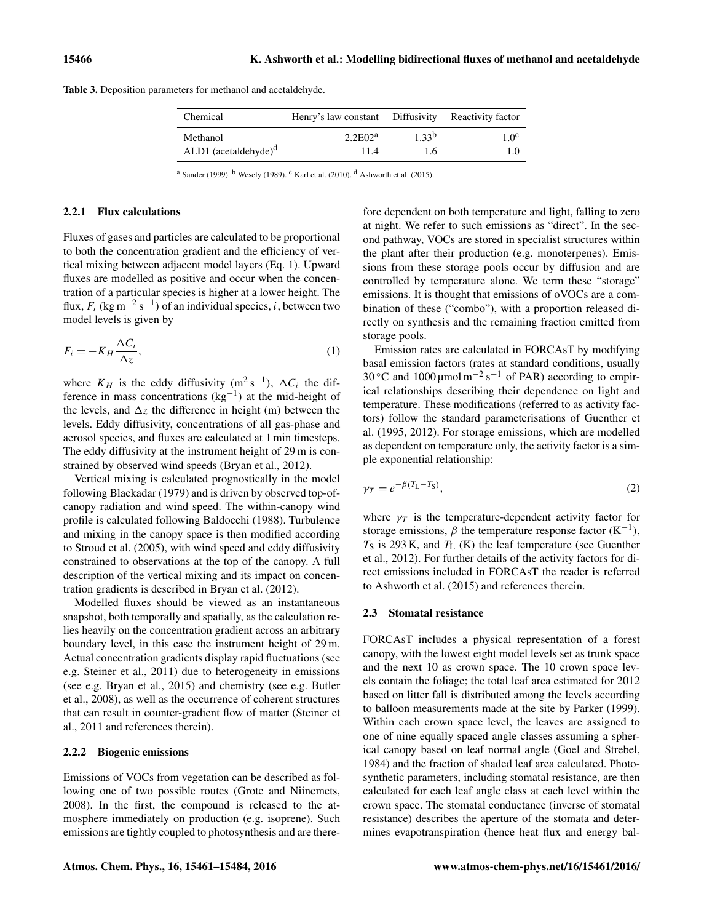| Chemical                | Henry's law constant Diffusivity Reactivity factor |            |                  |
|-------------------------|----------------------------------------------------|------------|------------------|
| Methanol                | 2.2E02 <sup>a</sup>                                | $1.33^{b}$ | 1.0 <sup>c</sup> |
| ALD1 (acetaldehyde) $d$ | 11.4                                               | 1.6        | 1.0              |

Table 3. Deposition parameters for methanol and acetaldehyde.

<sup>a</sup> Sander (1999). <sup>b</sup> Wesely (1989). <sup>c</sup> Karl et al. (2010). <sup>d</sup> Ashworth et al. (2015).

# 2.2.1 Flux calculations

Fluxes of gases and particles are calculated to be proportional to both the concentration gradient and the efficiency of vertical mixing between adjacent model layers (Eq. 1). Upward fluxes are modelled as positive and occur when the concentration of a particular species is higher at a lower height. The flux,  $F_i$  (kg m<sup>-2</sup> s<sup>-1</sup>) of an individual species, *i*, between two model levels is given by

$$
F_i = -K_H \frac{\Delta C_i}{\Delta z},\tag{1}
$$

where  $K_H$  is the eddy diffusivity  $(m^2 s^{-1})$ ,  $\Delta C_i$  the difference in mass concentrations  $(kg^{-1})$  at the mid-height of the levels, and  $\Delta z$  the difference in height (m) between the levels. Eddy diffusivity, concentrations of all gas-phase and aerosol species, and fluxes are calculated at 1 min timesteps. The eddy diffusivity at the instrument height of 29 m is constrained by observed wind speeds (Bryan et al., 2012).

Vertical mixing is calculated prognostically in the model following Blackadar (1979) and is driven by observed top-ofcanopy radiation and wind speed. The within-canopy wind profile is calculated following Baldocchi (1988). Turbulence and mixing in the canopy space is then modified according to Stroud et al. (2005), with wind speed and eddy diffusivity constrained to observations at the top of the canopy. A full description of the vertical mixing and its impact on concentration gradients is described in Bryan et al. (2012).

Modelled fluxes should be viewed as an instantaneous snapshot, both temporally and spatially, as the calculation relies heavily on the concentration gradient across an arbitrary boundary level, in this case the instrument height of 29 m. Actual concentration gradients display rapid fluctuations (see e.g. Steiner et al., 2011) due to heterogeneity in emissions (see e.g. Bryan et al., 2015) and chemistry (see e.g. Butler et al., 2008), as well as the occurrence of coherent structures that can result in counter-gradient flow of matter (Steiner et al., 2011 and references therein).

# 2.2.2 Biogenic emissions

Emissions of VOCs from vegetation can be described as following one of two possible routes (Grote and Niinemets, 2008). In the first, the compound is released to the atmosphere immediately on production (e.g. isoprene). Such emissions are tightly coupled to photosynthesis and are therefore dependent on both temperature and light, falling to zero at night. We refer to such emissions as "direct". In the second pathway, VOCs are stored in specialist structures within the plant after their production (e.g. monoterpenes). Emissions from these storage pools occur by diffusion and are controlled by temperature alone. We term these "storage" emissions. It is thought that emissions of oVOCs are a combination of these ("combo"), with a proportion released directly on synthesis and the remaining fraction emitted from storage pools.

Emission rates are calculated in FORCAsT by modifying basal emission factors (rates at standard conditions, usually 30 °C and 1000 µmol m<sup>-2</sup> s<sup>-1</sup> of PAR) according to empirical relationships describing their dependence on light and temperature. These modifications (referred to as activity factors) follow the standard parameterisations of Guenther et al. (1995, 2012). For storage emissions, which are modelled as dependent on temperature only, the activity factor is a simple exponential relationship:

$$
\gamma_T = e^{-\beta(T_L - T_S)},\tag{2}
$$

where  $\gamma$  is the temperature-dependent activity factor for storage emissions,  $\beta$  the temperature response factor  $(K^{-1})$ ,  $T<sub>S</sub>$  is 293 K, and  $T<sub>L</sub>$  (K) the leaf temperature (see Guenther et al., 2012). For further details of the activity factors for direct emissions included in FORCAsT the reader is referred to Ashworth et al. (2015) and references therein.

# 2.3 Stomatal resistance

FORCAsT includes a physical representation of a forest canopy, with the lowest eight model levels set as trunk space and the next 10 as crown space. The 10 crown space levels contain the foliage; the total leaf area estimated for 2012 based on litter fall is distributed among the levels according to balloon measurements made at the site by Parker (1999). Within each crown space level, the leaves are assigned to one of nine equally spaced angle classes assuming a spherical canopy based on leaf normal angle (Goel and Strebel, 1984) and the fraction of shaded leaf area calculated. Photosynthetic parameters, including stomatal resistance, are then calculated for each leaf angle class at each level within the crown space. The stomatal conductance (inverse of stomatal resistance) describes the aperture of the stomata and determines evapotranspiration (hence heat flux and energy bal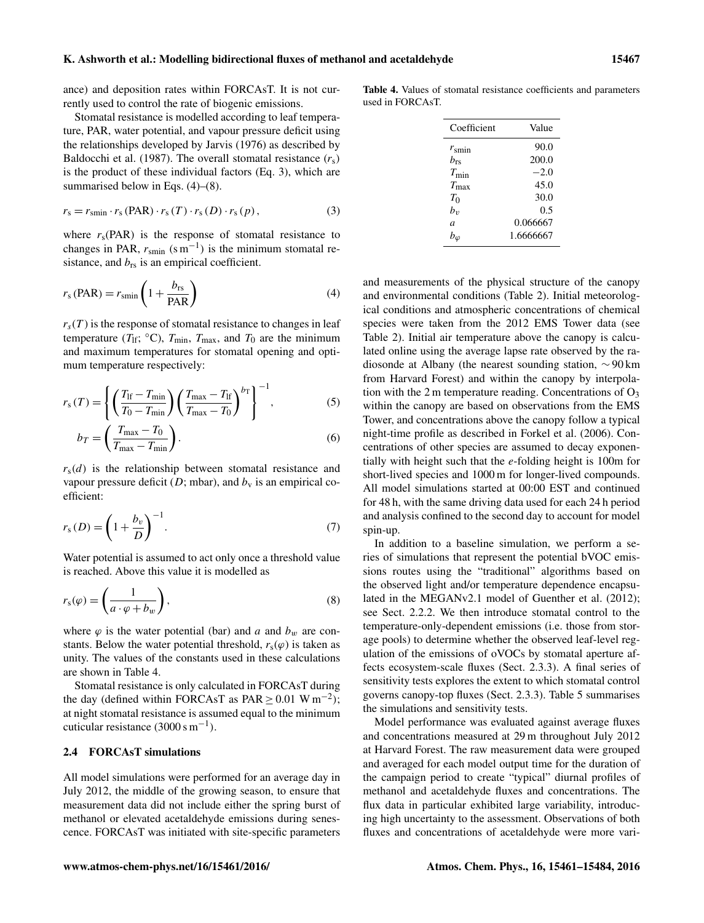ance) and deposition rates within FORCAsT. It is not currently used to control the rate of biogenic emissions.

Stomatal resistance is modelled according to leaf temperature, PAR, water potential, and vapour pressure deficit using the relationships developed by Jarvis (1976) as described by Baldocchi et al. (1987). The overall stomatal resistance  $(r<sub>s</sub>)$ is the product of these individual factors (Eq. 3), which are summarised below in Eqs. (4)–(8).

$$
r_{\rm s} = r_{\rm smin} \cdot r_{\rm s} \left( \text{PAR} \right) \cdot r_{\rm s} \left( T \right) \cdot r_{\rm s} \left( D \right) \cdot r_{\rm s} \left( p \right), \tag{3}
$$

where  $r_s$ (PAR) is the response of stomatal resistance to changes in PAR,  $r_{\text{smin}}$  (s m<sup>-1</sup>) is the minimum stomatal resistance, and  $b_{rs}$  is an empirical coefficient.

$$
r_{\rm s} \, (\text{PAR}) = r_{\rm smin} \left( 1 + \frac{b_{\rm rs}}{\text{PAR}} \right) \tag{4}
$$

 $r_s(T)$  is the response of stomatal resistance to changes in leaf temperature  $(T_{\text{lf}}; {}^{\circ}C)$ ,  $T_{\text{min}}$ ,  $T_{\text{max}}$ , and  $T_0$  are the minimum and maximum temperatures for stomatal opening and optimum temperature respectively:

$$
r_{\rm s}(T) = \left\{ \left( \frac{T_{\rm lf} - T_{\rm min}}{T_0 - T_{\rm min}} \right) \left( \frac{T_{\rm max} - T_{\rm lf}}{T_{\rm max} - T_0} \right)^{b_{\rm T}} \right\}^{-1},\tag{5}
$$

$$
b_T = \left(\frac{T_{\text{max}} - T_0}{T_{\text{max}} - T_{\text{min}}}\right). \tag{6}
$$

 $r<sub>s</sub>(d)$  is the relationship between stomatal resistance and vapour pressure deficit (D; mbar), and  $b_v$  is an empirical coefficient:

$$
r_{\rm s}(D) = \left(1 + \frac{b_v}{D}\right)^{-1}.\tag{7}
$$

Water potential is assumed to act only once a threshold value is reached. Above this value it is modelled as

$$
r_{\rm s}(\varphi) = \left(\frac{1}{a \cdot \varphi + b_w}\right),\tag{8}
$$

where  $\varphi$  is the water potential (bar) and a and  $b_w$  are constants. Below the water potential threshold,  $r_s(\varphi)$  is taken as unity. The values of the constants used in these calculations are shown in Table 4.

Stomatal resistance is only calculated in FORCAsT during the day (defined within FORCAsT as  $PAR \geq 0.01 \text{ W m}^{-2}$ ); at night stomatal resistance is assumed equal to the minimum cuticular resistance  $(3000 \text{ s m}^{-1})$ .

## 2.4 FORCAsT simulations

All model simulations were performed for an average day in July 2012, the middle of the growing season, to ensure that measurement data did not include either the spring burst of methanol or elevated acetaldehyde emissions during senescence. FORCAsT was initiated with site-specific parameters

Table 4. Values of stomatal resistance coefficients and parameters used in FORCAsT.

| Coefficient    | Value     |
|----------------|-----------|
| $r_{\rm smin}$ | 90.0      |
| $b_{rs}$       | 200.0     |
| $T_{\min}$     | $-2.0$    |
| $T_{\rm max}$  | 45.0      |
| $T_{0}$        | 30.0      |
| $b_v$          | 0.5       |
| $\overline{a}$ | 0.066667  |
| $b_{\omega}$   | 1.6666667 |

and measurements of the physical structure of the canopy and environmental conditions (Table 2). Initial meteorological conditions and atmospheric concentrations of chemical species were taken from the 2012 EMS Tower data (see Table 2). Initial air temperature above the canopy is calculated online using the average lapse rate observed by the radiosonde at Albany (the nearest sounding station, ∼ 90 km from Harvard Forest) and within the canopy by interpolation with the 2 m temperature reading. Concentrations of  $O_3$ within the canopy are based on observations from the EMS Tower, and concentrations above the canopy follow a typical night-time profile as described in Forkel et al. (2006). Concentrations of other species are assumed to decay exponentially with height such that the e-folding height is 100m for short-lived species and 1000 m for longer-lived compounds. All model simulations started at 00:00 EST and continued for 48 h, with the same driving data used for each 24 h period and analysis confined to the second day to account for model spin-up.

In addition to a baseline simulation, we perform a series of simulations that represent the potential bVOC emissions routes using the "traditional" algorithms based on the observed light and/or temperature dependence encapsulated in the MEGANv2.1 model of Guenther et al. (2012); see Sect. 2.2.2. We then introduce stomatal control to the temperature-only-dependent emissions (i.e. those from storage pools) to determine whether the observed leaf-level regulation of the emissions of oVOCs by stomatal aperture affects ecosystem-scale fluxes (Sect. 2.3.3). A final series of sensitivity tests explores the extent to which stomatal control governs canopy-top fluxes (Sect. 2.3.3). Table 5 summarises the simulations and sensitivity tests.

Model performance was evaluated against average fluxes and concentrations measured at 29 m throughout July 2012 at Harvard Forest. The raw measurement data were grouped and averaged for each model output time for the duration of the campaign period to create "typical" diurnal profiles of methanol and acetaldehyde fluxes and concentrations. The flux data in particular exhibited large variability, introducing high uncertainty to the assessment. Observations of both fluxes and concentrations of acetaldehyde were more vari-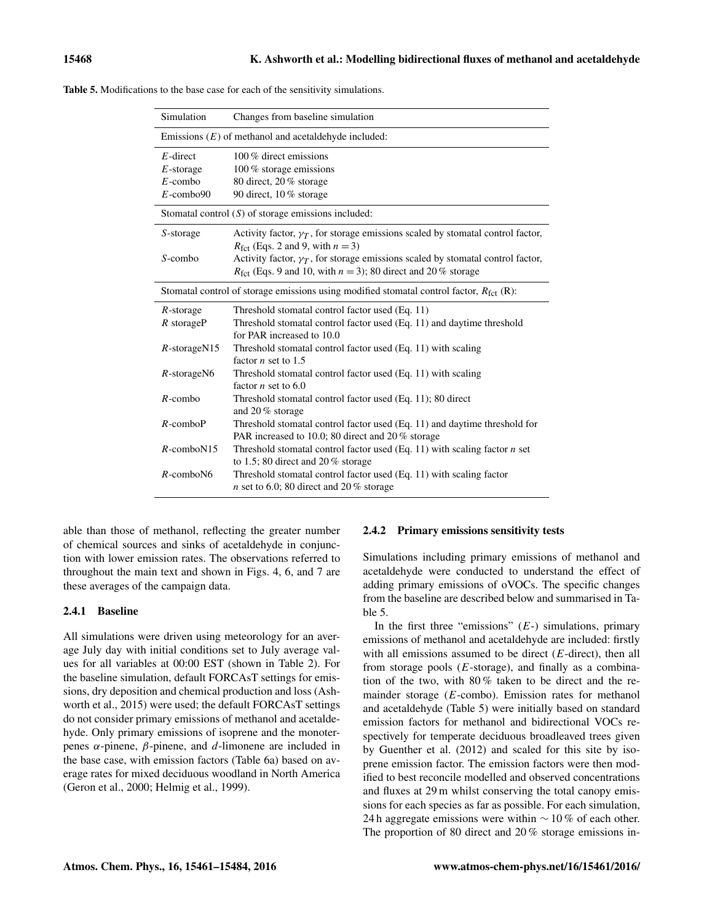| Simulation                                                                                          | Changes from baseline simulation                                                                                                                                     |  |  |
|-----------------------------------------------------------------------------------------------------|----------------------------------------------------------------------------------------------------------------------------------------------------------------------|--|--|
| Emissions $(E)$ of methanol and acetaldehyde included:                                              |                                                                                                                                                                      |  |  |
| $E$ -direct                                                                                         | 100 % direct emissions                                                                                                                                               |  |  |
| $E$ -storage                                                                                        | 100 % storage emissions                                                                                                                                              |  |  |
| $E$ -combo                                                                                          | 80 direct, 20% storage                                                                                                                                               |  |  |
| $E$ -combo $90$                                                                                     | 90 direct, $10\%$ storage                                                                                                                                            |  |  |
| Stomatal control $(S)$ of storage emissions included:                                               |                                                                                                                                                                      |  |  |
| S-storage                                                                                           | Activity factor, $\gamma_T$ , for storage emissions scaled by stomatal control factor,<br>$R_{\text{fct}}$ (Eqs. 2 and 9, with $n = 3$ )                             |  |  |
| S-combo                                                                                             | Activity factor, $\gamma_T$ , for storage emissions scaled by stomatal control factor,<br>$R_{\text{fct}}$ (Eqs. 9 and 10, with $n = 3$ ); 80 direct and 20% storage |  |  |
| Stomatal control of storage emissions using modified stomatal control factor, $R_{\text{fct}}$ (R): |                                                                                                                                                                      |  |  |
| $R$ -storage                                                                                        | Threshold stomatal control factor used (Eq. 11)                                                                                                                      |  |  |
| $R$ storageP                                                                                        | Threshold stomatal control factor used (Eq. 11) and daytime threshold<br>for PAR increased to 10.0                                                                   |  |  |
| $R$ -storageN15                                                                                     | Threshold stomatal control factor used (Eq. 11) with scaling<br>factor <i>n</i> set to 1.5                                                                           |  |  |
| $R$ -storageN6                                                                                      | Threshold stomatal control factor used (Eq. 11) with scaling<br>factor <i>n</i> set to $6.0$                                                                         |  |  |
| $R$ -combo                                                                                          | Threshold stomatal control factor used (Eq. 11); 80 direct<br>and 20% storage                                                                                        |  |  |
| $R$ -combo $P$                                                                                      | Threshold stomatal control factor used (Eq. 11) and daytime threshold for                                                                                            |  |  |
|                                                                                                     | PAR increased to 10.0; 80 direct and 20% storage                                                                                                                     |  |  |
| $R$ -combo $N15$                                                                                    | Threshold stomatal control factor used $(Eq. 11)$ with scaling factor <i>n</i> set                                                                                   |  |  |
|                                                                                                     | to 1.5; 80 direct and 20 $%$ storage                                                                                                                                 |  |  |
| $R$ -combo $N6$                                                                                     | Threshold stomatal control factor used (Eq. 11) with scaling factor                                                                                                  |  |  |
|                                                                                                     | <i>n</i> set to 6.0; 80 direct and 20 % storage                                                                                                                      |  |  |

Table 5. Modifications to the base case for each of the sensitivity simulations.

able than those of methanol, reflecting the greater number of chemical sources and sinks of acetaldehyde in conjunction with lower emission rates. The observations referred to throughout the main text and shown in Figs. 4, 6, and 7 are these averages of the campaign data.

# 2.4.1 Baseline

All simulations were driven using meteorology for an average July day with initial conditions set to July average values for all variables at 00:00 EST (shown in Table 2). For the baseline simulation, default FORCAsT settings for emissions, dry deposition and chemical production and loss (Ashworth et al., 2015) were used; the default FORCAsT settings do not consider primary emissions of methanol and acetaldehyde. Only primary emissions of isoprene and the monoterpenes α-pinene, β-pinene, and d-limonene are included in the base case, with emission factors (Table 6a) based on average rates for mixed deciduous woodland in North America (Geron et al., 2000; Helmig et al., 1999).

## 2.4.2 Primary emissions sensitivity tests

Simulations including primary emissions of methanol and acetaldehyde were conducted to understand the effect of adding primary emissions of oVOCs. The specific changes from the baseline are described below and summarised in Table 5.

In the first three "emissions"  $(E-)$  simulations, primary emissions of methanol and acetaldehyde are included: firstly with all emissions assumed to be direct  $(E\textrm{-direct})$ , then all from storage pools  $(E\text{-storage})$ , and finally as a combination of the two, with  $80\%$  taken to be direct and the remainder storage (E-combo). Emission rates for methanol and acetaldehyde (Table 5) were initially based on standard emission factors for methanol and bidirectional VOCs respectively for temperate deciduous broadleaved trees given by Guenther et al. (2012) and scaled for this site by isoprene emission factor. The emission factors were then modified to best reconcile modelled and observed concentrations and fluxes at 29 m whilst conserving the total canopy emissions for each species as far as possible. For each simulation, 24 h aggregate emissions were within  $\sim$  10 % of each other. The proportion of 80 direct and 20 % storage emissions in-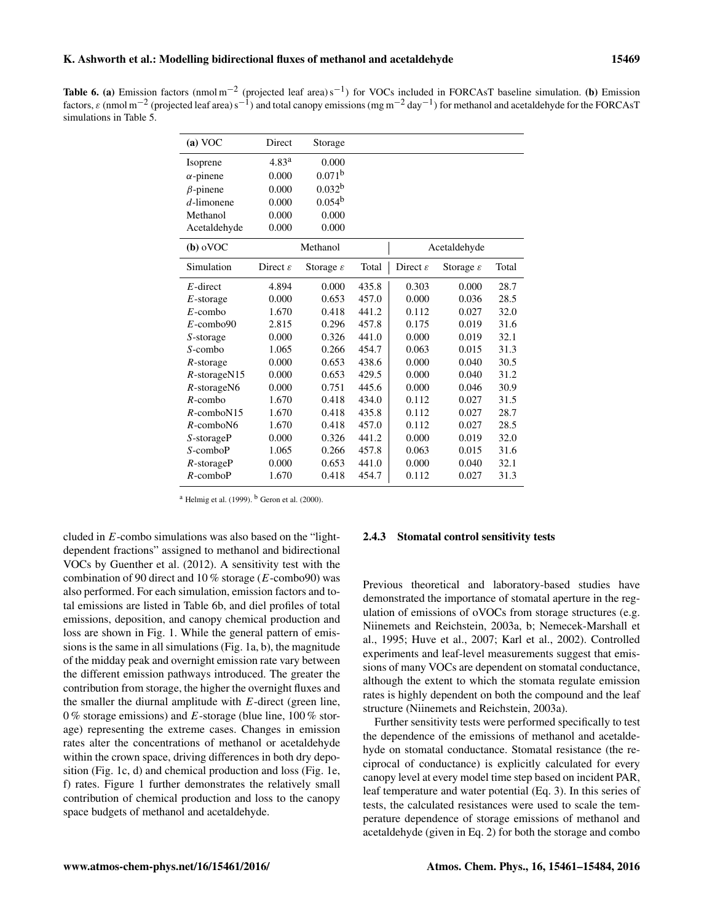## K. Ashworth et al.: Modelling bidirectional fluxes of methanol and acetaldehyde 15469

**Table 6.** (a) Emission factors (nmol m<sup>-2</sup> (projected leaf area) s<sup>-1</sup>) for VOCs included in FORCAsT baseline simulation. (b) Emission factors,  $\varepsilon$  (nmol m<sup>-2</sup> (projected leaf area) s<sup>-1</sup>) and total canopy emissions (mg m<sup>-2</sup> day<sup>-1</sup>) for methanol and acetaldehyde for the FORCAsT simulations in Table 5.

| $(a)$ VOC        | Direct               | Storage               |       |                      |                       |       |
|------------------|----------------------|-----------------------|-------|----------------------|-----------------------|-------|
| Isoprene         | 4.83 <sup>a</sup>    | 0.000                 |       |                      |                       |       |
| $\alpha$ -pinene | 0.000                | $0.071^{b}$           |       |                      |                       |       |
| $\beta$ -pinene  | 0.000                | 0.032 <sup>b</sup>    |       |                      |                       |       |
| $d$ -limonene    | 0.000                | 0.054 <sup>b</sup>    |       |                      |                       |       |
| Methanol         | 0.000                | 0.000                 |       |                      |                       |       |
| Acetaldehyde     | 0.000                | 0.000                 |       |                      |                       |       |
| (b) oVOC         | Methanol             |                       |       | Acetaldehyde         |                       |       |
| Simulation       | Direct $\varepsilon$ | Storage $\varepsilon$ | Total | Direct $\varepsilon$ | Storage $\varepsilon$ | Total |
| $E$ -direct      | 4.894                | 0.000                 | 435.8 | 0.303                | 0.000                 | 28.7  |
| $E$ -storage     | 0.000                | 0.653                 | 457.0 | 0.000                | 0.036                 | 28.5  |
| $E$ -combo       | 1.670                | 0.418                 | 441.2 | 0.112                | 0.027                 | 32.0  |
| $E$ -combo $90$  | 2.815                | 0.296                 | 457.8 | 0.175                | 0.019                 | 31.6  |
| S-storage        | 0.000                | 0.326                 | 441.0 | 0.000                | 0.019                 | 32.1  |
| $S$ -combo       | 1.065                | 0.266                 | 454.7 | 0.063                | 0.015                 | 31.3  |
| $R$ -storage     | 0.000                | 0.653                 | 438.6 | 0.000                | 0.040                 | 30.5  |
| $R$ -storageN15  | 0.000                | 0.653                 | 429.5 | 0.000                | 0.040                 | 31.2  |
| $R$ -storageN6   | 0.000                | 0.751                 | 445.6 | 0.000                | 0.046                 | 30.9  |
| $R$ -combo       | 1.670                | 0.418                 | 434.0 | 0.112                | 0.027                 | 31.5  |
| $R$ -combo $N15$ | 1.670                | 0.418                 | 435.8 | 0.112                | 0.027                 | 28.7  |
| $R$ -combo $N6$  | 1.670                | 0.418                 | 457.0 | 0.112                | 0.027                 | 28.5  |
| S-storageP       | 0.000                | 0.326                 | 441.2 | 0.000                | 0.019                 | 32.0  |
| $S$ -combo $P$   | 1.065                | 0.266                 | 457.8 | 0.063                | 0.015                 | 31.6  |
| $R$ -storageP    | 0.000                | 0.653                 | 441.0 | 0.000                | 0.040                 | 32.1  |
| $R$ -combo $P$   | 1.670                | 0.418                 | 454.7 | 0.112                | 0.027                 | 31.3  |

 $a$  Helmig et al. (1999).  $b$  Geron et al. (2000).

cluded in E-combo simulations was also based on the "lightdependent fractions" assigned to methanol and bidirectional VOCs by Guenther et al. (2012). A sensitivity test with the combination of 90 direct and 10 % storage ( $E$ -combo90) was also performed. For each simulation, emission factors and total emissions are listed in Table 6b, and diel profiles of total emissions, deposition, and canopy chemical production and loss are shown in Fig. 1. While the general pattern of emissions is the same in all simulations (Fig. 1a, b), the magnitude of the midday peak and overnight emission rate vary between the different emission pathways introduced. The greater the contribution from storage, the higher the overnight fluxes and the smaller the diurnal amplitude with  $E$ -direct (green line, 0% storage emissions) and E-storage (blue line,  $100\%$  storage) representing the extreme cases. Changes in emission rates alter the concentrations of methanol or acetaldehyde within the crown space, driving differences in both dry deposition (Fig. 1c, d) and chemical production and loss (Fig. 1e, f) rates. Figure 1 further demonstrates the relatively small contribution of chemical production and loss to the canopy space budgets of methanol and acetaldehyde.

# 2.4.3 Stomatal control sensitivity tests

Previous theoretical and laboratory-based studies have demonstrated the importance of stomatal aperture in the regulation of emissions of oVOCs from storage structures (e.g. Niinemets and Reichstein, 2003a, b; Nemecek-Marshall et al., 1995; Huve et al., 2007; Karl et al., 2002). Controlled experiments and leaf-level measurements suggest that emissions of many VOCs are dependent on stomatal conductance, although the extent to which the stomata regulate emission rates is highly dependent on both the compound and the leaf structure (Niinemets and Reichstein, 2003a).

Further sensitivity tests were performed specifically to test the dependence of the emissions of methanol and acetaldehyde on stomatal conductance. Stomatal resistance (the reciprocal of conductance) is explicitly calculated for every canopy level at every model time step based on incident PAR, leaf temperature and water potential (Eq. 3). In this series of tests, the calculated resistances were used to scale the temperature dependence of storage emissions of methanol and acetaldehyde (given in Eq. 2) for both the storage and combo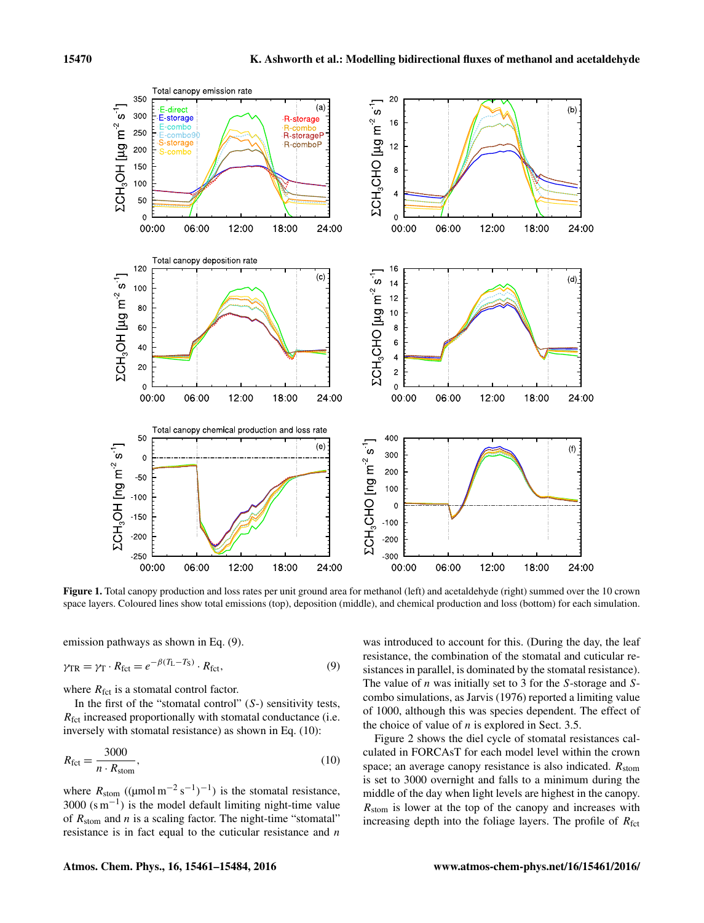

Figure 1. Total canopy production and loss rates per unit ground area for methanol (left) and acetaldehyde (right) summed over the 10 crown space layers. Coloured lines show total emissions (top), deposition (middle), and chemical production and loss (bottom) for each simulation.

emission pathways as shown in Eq. (9).

$$
\gamma_{\rm TR} = \gamma_{\rm T} \cdot R_{\rm fct} = e^{-\beta (T_{\rm L} - T_{\rm S})} \cdot R_{\rm fct},\tag{9}
$$

where  $R_{\text{fct}}$  is a stomatal control factor.

In the first of the "stomatal control"  $(S<sub>-</sub>)$  sensitivity tests,  $R_{\text{fct}}$  increased proportionally with stomatal conductance (i.e. inversely with stomatal resistance) as shown in Eq. (10):

$$
R_{\text{fct}} = \frac{3000}{n \cdot R_{\text{atom}}},\tag{10}
$$

where  $R_{\text{atom}}$  (( $\mu$ mol m<sup>-2</sup> s<sup>-1</sup>)<sup>-1</sup>) is the stomatal resistance,  $3000$  (s m<sup>-1</sup>) is the model default limiting night-time value of  $R_{\text{atom}}$  and n is a scaling factor. The night-time "stomatal" resistance is in fact equal to the cuticular resistance and  $n$  was introduced to account for this. (During the day, the leaf resistance, the combination of the stomatal and cuticular resistances in parallel, is dominated by the stomatal resistance). The value of  $n$  was initially set to 3 for the S-storage and Scombo simulations, as Jarvis (1976) reported a limiting value of 1000, although this was species dependent. The effect of the choice of value of  $n$  is explored in Sect. 3.5.

Figure 2 shows the diel cycle of stomatal resistances calculated in FORCAsT for each model level within the crown space; an average canopy resistance is also indicated.  $R_{\text{atom}}$ is set to 3000 overnight and falls to a minimum during the middle of the day when light levels are highest in the canopy.  $R_{\text{atom}}$  is lower at the top of the canopy and increases with increasing depth into the foliage layers. The profile of  $R_{\text{fct}}$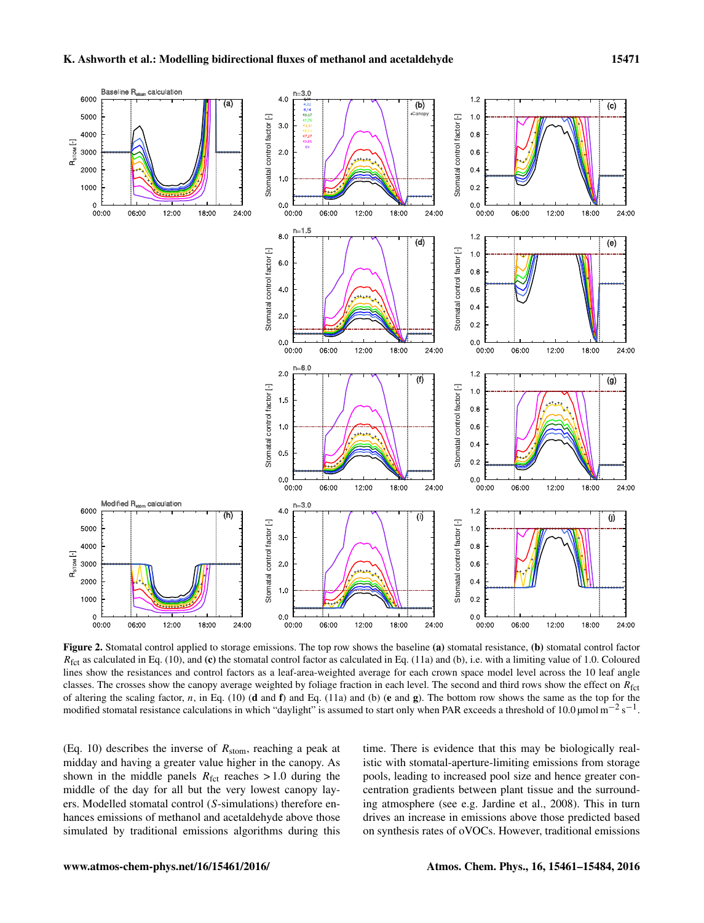

Figure 2. Stomatal control applied to storage emissions. The top row shows the baseline (a) stomatal resistance, (b) stomatal control factor  $R_{\text{fct}}$  as calculated in Eq. (10), and (c) the stomatal control factor as calculated in Eq. (11a) and (b), i.e. with a limiting value of 1.0. Coloured lines show the resistances and control factors as a leaf-area-weighted average for each crown space model level across the 10 leaf angle classes. The crosses show the canopy average weighted by foliage fraction in each level. The second and third rows show the effect on R<sub>fct</sub> of altering the scaling factor, n, in Eq. (10) (d and f) and Eq. (11a) and (b) (e and g). The bottom row shows the same as the top for the modified stomatal resistance calculations in which "daylight" is assumed to start only when PAR exceeds a threshold of 10.0 µmol m<sup>-2</sup> s<sup>-1</sup>.

(Eq. 10) describes the inverse of  $R_{\text{atom}}$ , reaching a peak at midday and having a greater value higher in the canopy. As shown in the middle panels  $R_{\text{fct}}$  reaches  $> 1.0$  during the middle of the day for all but the very lowest canopy layers. Modelled stomatal control (S-simulations) therefore enhances emissions of methanol and acetaldehyde above those simulated by traditional emissions algorithms during this time. There is evidence that this may be biologically realistic with stomatal-aperture-limiting emissions from storage pools, leading to increased pool size and hence greater concentration gradients between plant tissue and the surrounding atmosphere (see e.g. Jardine et al., 2008). This in turn drives an increase in emissions above those predicted based on synthesis rates of oVOCs. However, traditional emissions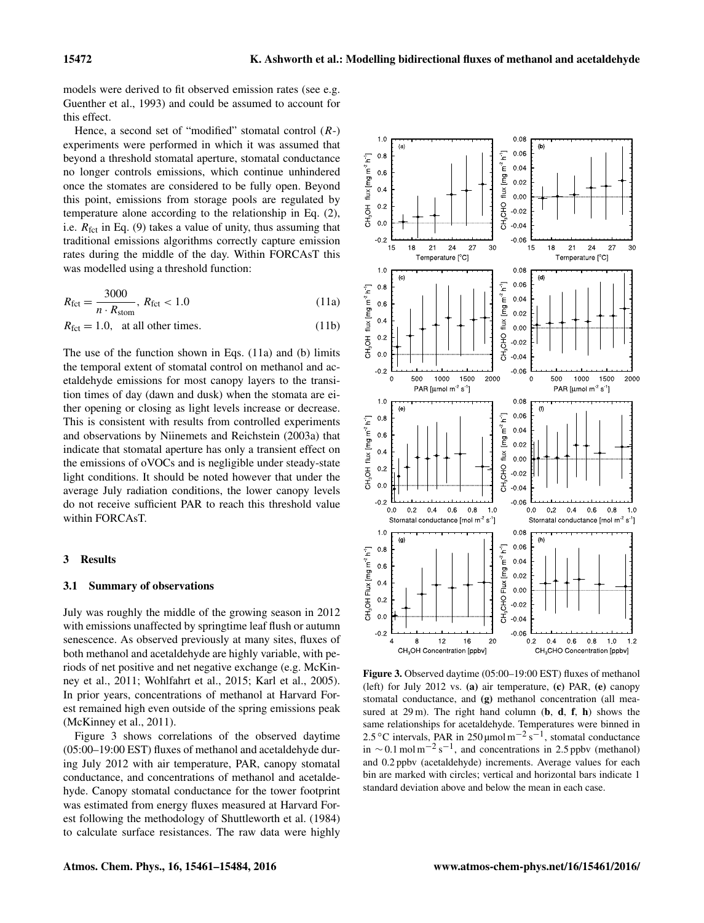models were derived to fit observed emission rates (see e.g. Guenther et al., 1993) and could be assumed to account for this effect.

Hence, a second set of "modified" stomatal control  $(R-)$ experiments were performed in which it was assumed that beyond a threshold stomatal aperture, stomatal conductance no longer controls emissions, which continue unhindered once the stomates are considered to be fully open. Beyond this point, emissions from storage pools are regulated by temperature alone according to the relationship in Eq. (2), i.e.  $R_{\text{fct}}$  in Eq. (9) takes a value of unity, thus assuming that traditional emissions algorithms correctly capture emission rates during the middle of the day. Within FORCAsT this was modelled using a threshold function:

$$
R_{\text{fct}} = \frac{3000}{n \cdot R_{\text{atom}}}, R_{\text{fct}} < 1.0 \tag{11a}
$$

$$
R_{\text{fct}} = 1.0, \text{ at all other times.} \tag{11b}
$$

The use of the function shown in Eqs. (11a) and (b) limits the temporal extent of stomatal control on methanol and acetaldehyde emissions for most canopy layers to the transition times of day (dawn and dusk) when the stomata are either opening or closing as light levels increase or decrease. This is consistent with results from controlled experiments and observations by Niinemets and Reichstein (2003a) that indicate that stomatal aperture has only a transient effect on the emissions of oVOCs and is negligible under steady-state light conditions. It should be noted however that under the average July radiation conditions, the lower canopy levels do not receive sufficient PAR to reach this threshold value within FORCAsT.

#### 3 Results

## 3.1 Summary of observations

July was roughly the middle of the growing season in 2012 with emissions unaffected by springtime leaf flush or autumn senescence. As observed previously at many sites, fluxes of both methanol and acetaldehyde are highly variable, with periods of net positive and net negative exchange (e.g. McKinney et al., 2011; Wohlfahrt et al., 2015; Karl et al., 2005). In prior years, concentrations of methanol at Harvard Forest remained high even outside of the spring emissions peak (McKinney et al., 2011).

Figure 3 shows correlations of the observed daytime (05:00–19:00 EST) fluxes of methanol and acetaldehyde during July 2012 with air temperature, PAR, canopy stomatal conductance, and concentrations of methanol and acetaldehyde. Canopy stomatal conductance for the tower footprint was estimated from energy fluxes measured at Harvard Forest following the methodology of Shuttleworth et al. (1984) to calculate surface resistances. The raw data were highly



Figure 3. Observed daytime (05:00–19:00 EST) fluxes of methanol (left) for July 2012 vs. (a) air temperature, (c) PAR, (e) canopy stomatal conductance, and (g) methanol concentration (all measured at  $29 \text{ m}$ ). The right hand column (b, d, f, h) shows the same relationships for acetaldehyde. Temperatures were binned in 2.5 °C intervals, PAR in 250 µmol m<sup>-2</sup> s<sup>-1</sup>, stomatal conductance in  $\sim$  0.1 mol m<sup>-2</sup> s<sup>-1</sup>, and concentrations in 2.5 ppbv (methanol) and 0.2 ppbv (acetaldehyde) increments. Average values for each bin are marked with circles; vertical and horizontal bars indicate 1 standard deviation above and below the mean in each case.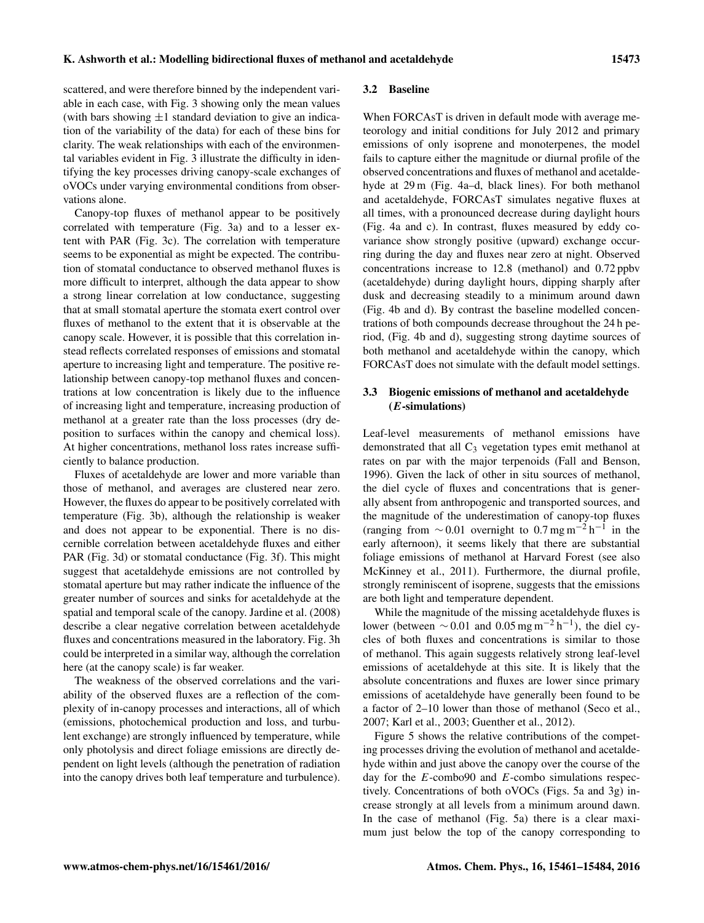scattered, and were therefore binned by the independent variable in each case, with Fig. 3 showing only the mean values (with bars showing  $\pm 1$  standard deviation to give an indication of the variability of the data) for each of these bins for clarity. The weak relationships with each of the environmental variables evident in Fig. 3 illustrate the difficulty in identifying the key processes driving canopy-scale exchanges of oVOCs under varying environmental conditions from observations alone.

Canopy-top fluxes of methanol appear to be positively correlated with temperature (Fig. 3a) and to a lesser extent with PAR (Fig. 3c). The correlation with temperature seems to be exponential as might be expected. The contribution of stomatal conductance to observed methanol fluxes is more difficult to interpret, although the data appear to show a strong linear correlation at low conductance, suggesting that at small stomatal aperture the stomata exert control over fluxes of methanol to the extent that it is observable at the canopy scale. However, it is possible that this correlation instead reflects correlated responses of emissions and stomatal aperture to increasing light and temperature. The positive relationship between canopy-top methanol fluxes and concentrations at low concentration is likely due to the influence of increasing light and temperature, increasing production of methanol at a greater rate than the loss processes (dry deposition to surfaces within the canopy and chemical loss). At higher concentrations, methanol loss rates increase sufficiently to balance production.

Fluxes of acetaldehyde are lower and more variable than those of methanol, and averages are clustered near zero. However, the fluxes do appear to be positively correlated with temperature (Fig. 3b), although the relationship is weaker and does not appear to be exponential. There is no discernible correlation between acetaldehyde fluxes and either PAR (Fig. 3d) or stomatal conductance (Fig. 3f). This might suggest that acetaldehyde emissions are not controlled by stomatal aperture but may rather indicate the influence of the greater number of sources and sinks for acetaldehyde at the spatial and temporal scale of the canopy. Jardine et al. (2008) describe a clear negative correlation between acetaldehyde fluxes and concentrations measured in the laboratory. Fig. 3h could be interpreted in a similar way, although the correlation here (at the canopy scale) is far weaker.

The weakness of the observed correlations and the variability of the observed fluxes are a reflection of the complexity of in-canopy processes and interactions, all of which (emissions, photochemical production and loss, and turbulent exchange) are strongly influenced by temperature, while only photolysis and direct foliage emissions are directly dependent on light levels (although the penetration of radiation into the canopy drives both leaf temperature and turbulence).

#### 3.2 Baseline

When FORCAsT is driven in default mode with average meteorology and initial conditions for July 2012 and primary emissions of only isoprene and monoterpenes, the model fails to capture either the magnitude or diurnal profile of the observed concentrations and fluxes of methanol and acetaldehyde at 29 m (Fig. 4a–d, black lines). For both methanol and acetaldehyde, FORCAsT simulates negative fluxes at all times, with a pronounced decrease during daylight hours (Fig. 4a and c). In contrast, fluxes measured by eddy covariance show strongly positive (upward) exchange occurring during the day and fluxes near zero at night. Observed concentrations increase to 12.8 (methanol) and 0.72 ppbv (acetaldehyde) during daylight hours, dipping sharply after dusk and decreasing steadily to a minimum around dawn (Fig. 4b and d). By contrast the baseline modelled concentrations of both compounds decrease throughout the 24 h period, (Fig. 4b and d), suggesting strong daytime sources of both methanol and acetaldehyde within the canopy, which FORCAsT does not simulate with the default model settings.

# 3.3 Biogenic emissions of methanol and acetaldehyde (E-simulations)

Leaf-level measurements of methanol emissions have demonstrated that all  $C_3$  vegetation types emit methanol at rates on par with the major terpenoids (Fall and Benson, 1996). Given the lack of other in situ sources of methanol, the diel cycle of fluxes and concentrations that is generally absent from anthropogenic and transported sources, and the magnitude of the underestimation of canopy-top fluxes (ranging from  $\sim$  0.01 overnight to 0.7 mg m<sup>-2</sup> h<sup>-1</sup> in the early afternoon), it seems likely that there are substantial foliage emissions of methanol at Harvard Forest (see also McKinney et al., 2011). Furthermore, the diurnal profile, strongly reminiscent of isoprene, suggests that the emissions are both light and temperature dependent.

While the magnitude of the missing acetaldehyde fluxes is lower (between  $\sim 0.01$  and  $0.05$  mg m<sup>-2</sup> h<sup>-1</sup>), the diel cycles of both fluxes and concentrations is similar to those of methanol. This again suggests relatively strong leaf-level emissions of acetaldehyde at this site. It is likely that the absolute concentrations and fluxes are lower since primary emissions of acetaldehyde have generally been found to be a factor of 2–10 lower than those of methanol (Seco et al., 2007; Karl et al., 2003; Guenther et al., 2012).

Figure 5 shows the relative contributions of the competing processes driving the evolution of methanol and acetaldehyde within and just above the canopy over the course of the day for the  $E$ -combo90 and  $E$ -combo simulations respectively. Concentrations of both oVOCs (Figs. 5a and 3g) increase strongly at all levels from a minimum around dawn. In the case of methanol (Fig. 5a) there is a clear maximum just below the top of the canopy corresponding to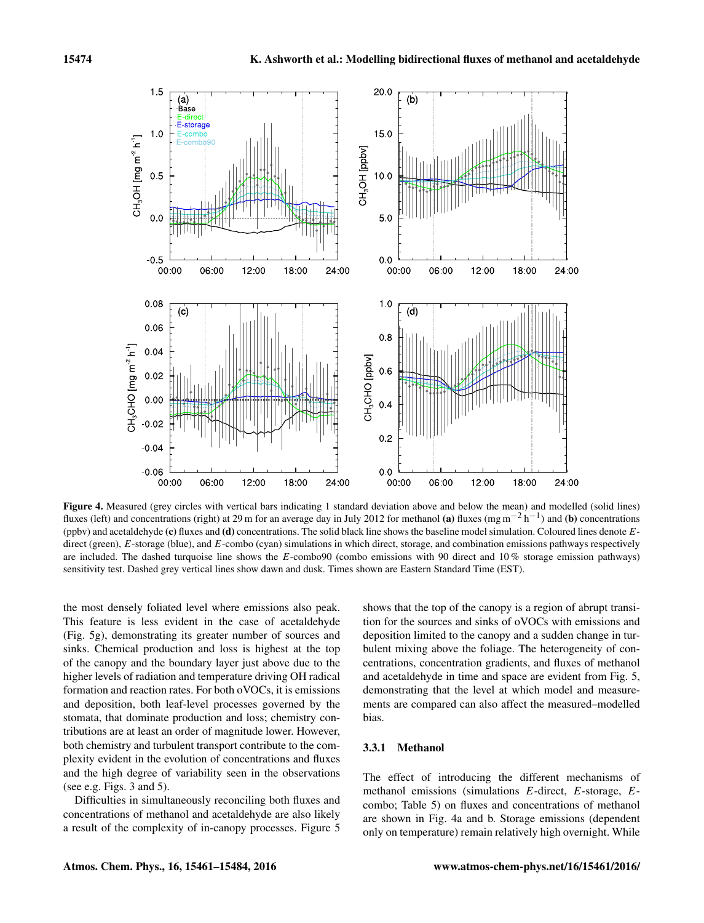

Figure 4. Measured (grey circles with vertical bars indicating 1 standard deviation above and below the mean) and modelled (solid lines) fluxes (left) and concentrations (right) at 29 m for an average day in July 2012 for methanol (a) fluxes (mg m<sup>-2</sup> h<sup>-1</sup>) and (b) concentrations (ppbv) and acetaldehyde (c) fluxes and (d) concentrations. The solid black line shows the baseline model simulation. Coloured lines denote  $E$ direct (green), E-storage (blue), and E-combo (cyan) simulations in which direct, storage, and combination emissions pathways respectively are included. The dashed turquoise line shows the  $E$ -combo90 (combo emissions with 90 direct and 10% storage emission pathways) sensitivity test. Dashed grey vertical lines show dawn and dusk. Times shown are Eastern Standard Time (EST).

the most densely foliated level where emissions also peak. This feature is less evident in the case of acetaldehyde (Fig. 5g), demonstrating its greater number of sources and sinks. Chemical production and loss is highest at the top of the canopy and the boundary layer just above due to the higher levels of radiation and temperature driving OH radical formation and reaction rates. For both oVOCs, it is emissions and deposition, both leaf-level processes governed by the stomata, that dominate production and loss; chemistry contributions are at least an order of magnitude lower. However, both chemistry and turbulent transport contribute to the complexity evident in the evolution of concentrations and fluxes and the high degree of variability seen in the observations (see e.g. Figs. 3 and 5).

Difficulties in simultaneously reconciling both fluxes and concentrations of methanol and acetaldehyde are also likely a result of the complexity of in-canopy processes. Figure 5 shows that the top of the canopy is a region of abrupt transition for the sources and sinks of oVOCs with emissions and deposition limited to the canopy and a sudden change in turbulent mixing above the foliage. The heterogeneity of concentrations, concentration gradients, and fluxes of methanol and acetaldehyde in time and space are evident from Fig. 5, demonstrating that the level at which model and measurements are compared can also affect the measured–modelled bias.

# 3.3.1 Methanol

The effect of introducing the different mechanisms of methanol emissions (simulations E-direct, E-storage, Ecombo; Table 5) on fluxes and concentrations of methanol are shown in Fig. 4a and b. Storage emissions (dependent only on temperature) remain relatively high overnight. While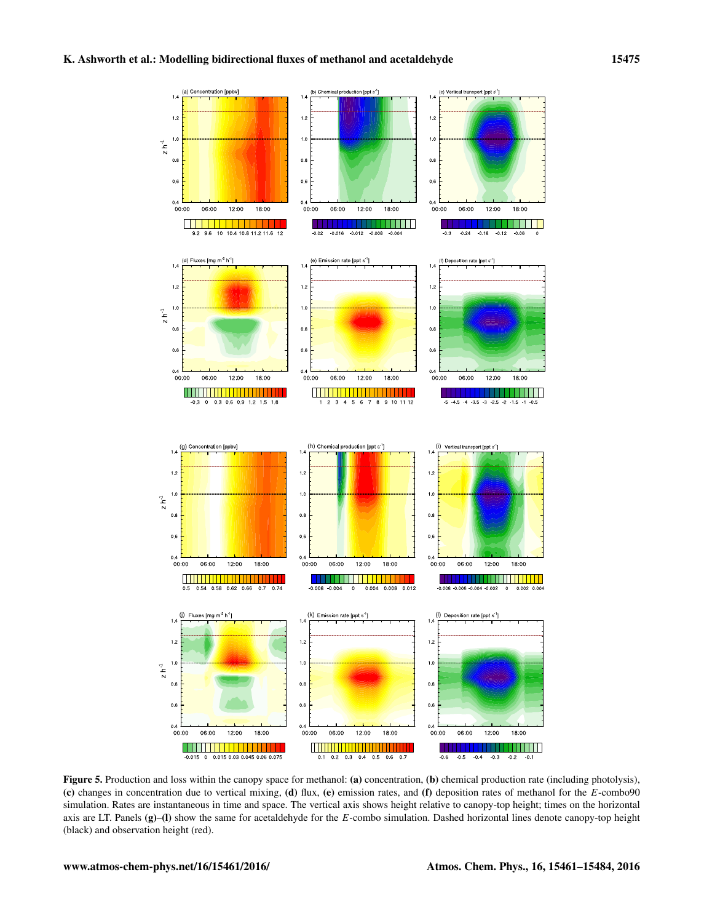

Figure 5. Production and loss within the canopy space for methanol: (a) concentration, (b) chemical production rate (including photolysis), (c) changes in concentration due to vertical mixing, (d) flux, (e) emission rates, and (f) deposition rates of methanol for the E-combo90 simulation. Rates are instantaneous in time and space. The vertical axis shows height relative to canopy-top height; times on the horizontal axis are LT. Panels  $(g)$ –(l) show the same for acetaldehyde for the  $E$ -combo simulation. Dashed horizontal lines denote canopy-top height (black) and observation height (red).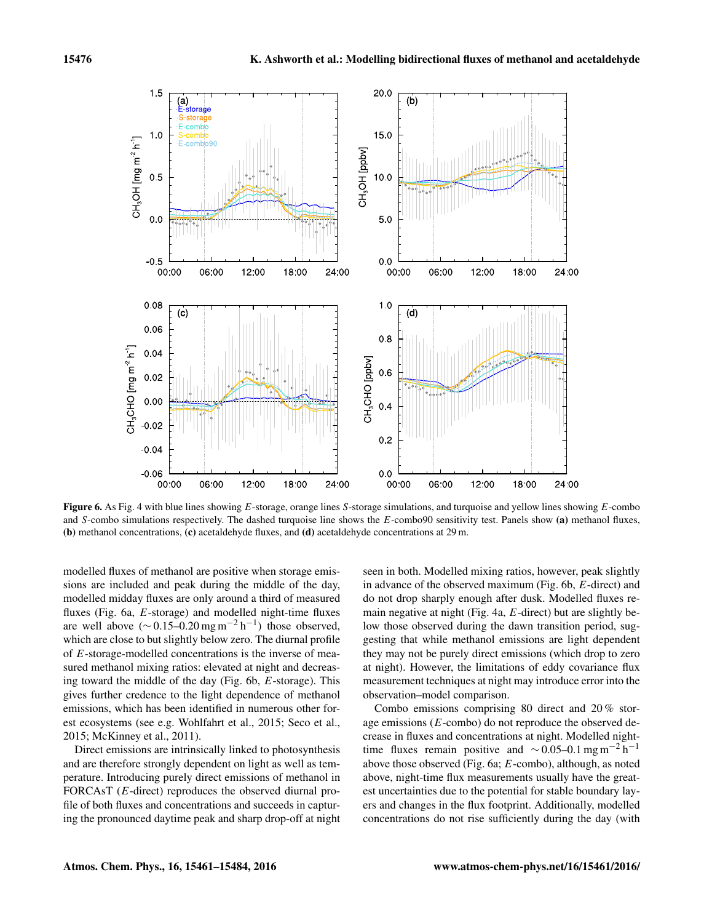

Figure 6. As Fig. 4 with blue lines showing E-storage, orange lines S-storage simulations, and turquoise and yellow lines showing E-combo and S-combo simulations respectively. The dashed turquoise line shows the  $E$ -combo90 sensitivity test. Panels show (a) methanol fluxes, (b) methanol concentrations, (c) acetaldehyde fluxes, and (d) acetaldehyde concentrations at 29 m.

modelled fluxes of methanol are positive when storage emissions are included and peak during the middle of the day, modelled midday fluxes are only around a third of measured fluxes (Fig. 6a, E-storage) and modelled night-time fluxes are well above  $(\sim 0.15 - 0.20 \,\text{mg m}^{-2} \,\text{h}^{-1})$  those observed, which are close to but slightly below zero. The diurnal profile of E-storage-modelled concentrations is the inverse of measured methanol mixing ratios: elevated at night and decreasing toward the middle of the day (Fig. 6b, E-storage). This gives further credence to the light dependence of methanol emissions, which has been identified in numerous other forest ecosystems (see e.g. Wohlfahrt et al., 2015; Seco et al., 2015; McKinney et al., 2011).

Direct emissions are intrinsically linked to photosynthesis and are therefore strongly dependent on light as well as temperature. Introducing purely direct emissions of methanol in FORCAsT (E-direct) reproduces the observed diurnal profile of both fluxes and concentrations and succeeds in capturing the pronounced daytime peak and sharp drop-off at night seen in both. Modelled mixing ratios, however, peak slightly in advance of the observed maximum (Fig. 6b, E-direct) and do not drop sharply enough after dusk. Modelled fluxes remain negative at night (Fig. 4a, E-direct) but are slightly below those observed during the dawn transition period, suggesting that while methanol emissions are light dependent they may not be purely direct emissions (which drop to zero at night). However, the limitations of eddy covariance flux measurement techniques at night may introduce error into the observation–model comparison.

Combo emissions comprising 80 direct and 20 % storage emissions  $(E$ -combo) do not reproduce the observed decrease in fluxes and concentrations at night. Modelled nighttime fluxes remain positive and  $\sim 0.05-0.1$  mg m<sup>-2</sup> h<sup>-1</sup> above those observed (Fig. 6a; E-combo), although, as noted above, night-time flux measurements usually have the greatest uncertainties due to the potential for stable boundary layers and changes in the flux footprint. Additionally, modelled concentrations do not rise sufficiently during the day (with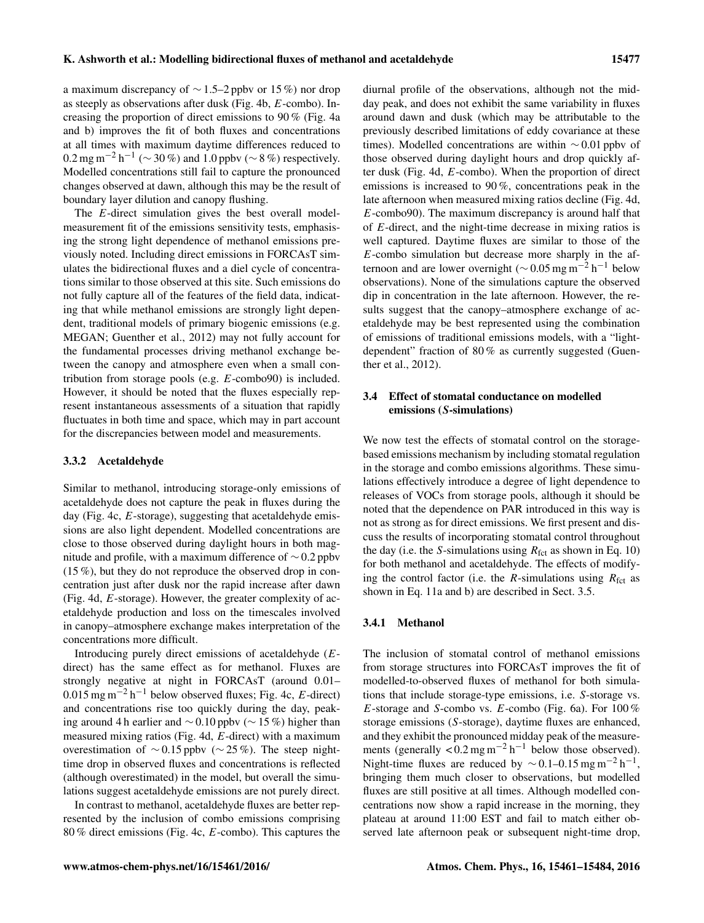a maximum discrepancy of ∼ 1.5–2 ppbv or 15 %) nor drop as steeply as observations after dusk (Fig. 4b, E-combo). Increasing the proportion of direct emissions to 90 % (Fig. 4a and b) improves the fit of both fluxes and concentrations at all times with maximum daytime differences reduced to 0.2 mg m<sup>-2</sup> h<sup>-1</sup> ( $\sim$  30 %) and 1.0 ppbv ( $\sim$  8 %) respectively. Modelled concentrations still fail to capture the pronounced changes observed at dawn, although this may be the result of boundary layer dilution and canopy flushing.

The E-direct simulation gives the best overall modelmeasurement fit of the emissions sensitivity tests, emphasising the strong light dependence of methanol emissions previously noted. Including direct emissions in FORCAsT simulates the bidirectional fluxes and a diel cycle of concentrations similar to those observed at this site. Such emissions do not fully capture all of the features of the field data, indicating that while methanol emissions are strongly light dependent, traditional models of primary biogenic emissions (e.g. MEGAN; Guenther et al., 2012) may not fully account for the fundamental processes driving methanol exchange between the canopy and atmosphere even when a small contribution from storage pools (e.g. E-combo90) is included. However, it should be noted that the fluxes especially represent instantaneous assessments of a situation that rapidly fluctuates in both time and space, which may in part account for the discrepancies between model and measurements.

### 3.3.2 Acetaldehyde

Similar to methanol, introducing storage-only emissions of acetaldehyde does not capture the peak in fluxes during the day (Fig. 4c, E-storage), suggesting that acetaldehyde emissions are also light dependent. Modelled concentrations are close to those observed during daylight hours in both magnitude and profile, with a maximum difference of ∼ 0.2 ppbv (15 %), but they do not reproduce the observed drop in concentration just after dusk nor the rapid increase after dawn (Fig. 4d, E-storage). However, the greater complexity of acetaldehyde production and loss on the timescales involved in canopy–atmosphere exchange makes interpretation of the concentrations more difficult.

Introducing purely direct emissions of acetaldehyde (Edirect) has the same effect as for methanol. Fluxes are strongly negative at night in FORCAsT (around 0.01–  $0.015$  mg m<sup>-2</sup> h<sup>-1</sup> below observed fluxes; Fig. 4c, E-direct) and concentrations rise too quickly during the day, peaking around 4 h earlier and  $\sim$  0.10 ppbv ( $\sim$  15%) higher than measured mixing ratios (Fig. 4d, E-direct) with a maximum overestimation of  $\sim$  0.15 ppbv ( $\sim$  25 %). The steep nighttime drop in observed fluxes and concentrations is reflected (although overestimated) in the model, but overall the simulations suggest acetaldehyde emissions are not purely direct.

In contrast to methanol, acetaldehyde fluxes are better represented by the inclusion of combo emissions comprising 80 % direct emissions (Fig. 4c, E-combo). This captures the

diurnal profile of the observations, although not the midday peak, and does not exhibit the same variability in fluxes around dawn and dusk (which may be attributable to the previously described limitations of eddy covariance at these times). Modelled concentrations are within ∼ 0.01 ppbv of those observed during daylight hours and drop quickly after dusk (Fig. 4d, E-combo). When the proportion of direct emissions is increased to 90 %, concentrations peak in the late afternoon when measured mixing ratios decline (Fig. 4d, E-combo90). The maximum discrepancy is around half that of E-direct, and the night-time decrease in mixing ratios is well captured. Daytime fluxes are similar to those of the  $E$ -combo simulation but decrease more sharply in the afternoon and are lower overnight ( $\sim$  0.05 mg m<sup>-2</sup> h<sup>-1</sup> below observations). None of the simulations capture the observed dip in concentration in the late afternoon. However, the results suggest that the canopy–atmosphere exchange of acetaldehyde may be best represented using the combination of emissions of traditional emissions models, with a "lightdependent" fraction of 80 % as currently suggested (Guenther et al., 2012).

# 3.4 Effect of stomatal conductance on modelled emissions (S-simulations)

We now test the effects of stomatal control on the storagebased emissions mechanism by including stomatal regulation in the storage and combo emissions algorithms. These simulations effectively introduce a degree of light dependence to releases of VOCs from storage pools, although it should be noted that the dependence on PAR introduced in this way is not as strong as for direct emissions. We first present and discuss the results of incorporating stomatal control throughout the day (i.e. the S-simulations using  $R_{\text{fct}}$  as shown in Eq. 10) for both methanol and acetaldehyde. The effects of modifying the control factor (i.e. the R-simulations using  $R_{\text{fct}}$  as shown in Eq. 11a and b) are described in Sect. 3.5.

## 3.4.1 Methanol

The inclusion of stomatal control of methanol emissions from storage structures into FORCAsT improves the fit of modelled-to-observed fluxes of methanol for both simulations that include storage-type emissions, i.e. S-storage vs. E-storage and S-combo vs. E-combo (Fig. 6a). For  $100\%$ storage emissions (S-storage), daytime fluxes are enhanced, and they exhibit the pronounced midday peak of the measurements (generally < $0.2$  mg m<sup>-2</sup> h<sup>-1</sup> below those observed). Night-time fluxes are reduced by  $\sim$  0.1–0.15 mg m<sup>-2</sup> h<sup>-1</sup>, bringing them much closer to observations, but modelled fluxes are still positive at all times. Although modelled concentrations now show a rapid increase in the morning, they plateau at around 11:00 EST and fail to match either observed late afternoon peak or subsequent night-time drop,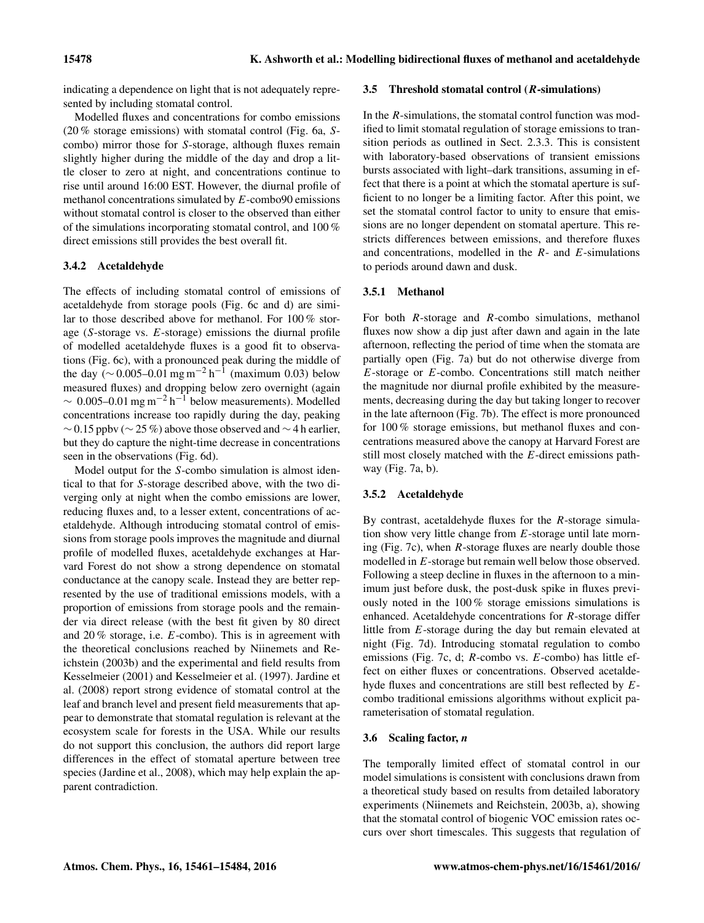indicating a dependence on light that is not adequately represented by including stomatal control.

Modelled fluxes and concentrations for combo emissions (20 % storage emissions) with stomatal control (Fig. 6a, Scombo) mirror those for S-storage, although fluxes remain slightly higher during the middle of the day and drop a little closer to zero at night, and concentrations continue to rise until around 16:00 EST. However, the diurnal profile of methanol concentrations simulated by E-combo90 emissions without stomatal control is closer to the observed than either of the simulations incorporating stomatal control, and 100 % direct emissions still provides the best overall fit.

# 3.4.2 Acetaldehyde

The effects of including stomatal control of emissions of acetaldehyde from storage pools (Fig. 6c and d) are similar to those described above for methanol. For 100 % storage (S-storage vs. E-storage) emissions the diurnal profile of modelled acetaldehyde fluxes is a good fit to observations (Fig. 6c), with a pronounced peak during the middle of the day ( $\sim$  0.005–0.01 mg m<sup>-2</sup> h<sup>-1</sup> (maximum 0.03) below measured fluxes) and dropping below zero overnight (again  $\sim 0.005$ –0.01 mg m<sup>-2</sup> h<sup>-1</sup> below measurements). Modelled concentrations increase too rapidly during the day, peaking  $\sim$  0.15 ppbv ( $\sim$  25 %) above those observed and  $\sim$  4 h earlier, but they do capture the night-time decrease in concentrations seen in the observations (Fig. 6d).

Model output for the S-combo simulation is almost identical to that for S-storage described above, with the two diverging only at night when the combo emissions are lower, reducing fluxes and, to a lesser extent, concentrations of acetaldehyde. Although introducing stomatal control of emissions from storage pools improves the magnitude and diurnal profile of modelled fluxes, acetaldehyde exchanges at Harvard Forest do not show a strong dependence on stomatal conductance at the canopy scale. Instead they are better represented by the use of traditional emissions models, with a proportion of emissions from storage pools and the remainder via direct release (with the best fit given by 80 direct and 20 % storage, i.e. E-combo). This is in agreement with the theoretical conclusions reached by Niinemets and Reichstein (2003b) and the experimental and field results from Kesselmeier (2001) and Kesselmeier et al. (1997). Jardine et al. (2008) report strong evidence of stomatal control at the leaf and branch level and present field measurements that appear to demonstrate that stomatal regulation is relevant at the ecosystem scale for forests in the USA. While our results do not support this conclusion, the authors did report large differences in the effect of stomatal aperture between tree species (Jardine et al., 2008), which may help explain the apparent contradiction.

#### 3.5 Threshold stomatal control  $(R\text{-simulations})$

In the *-simulations, the stomatal control function was mod*ified to limit stomatal regulation of storage emissions to transition periods as outlined in Sect. 2.3.3. This is consistent with laboratory-based observations of transient emissions bursts associated with light–dark transitions, assuming in effect that there is a point at which the stomatal aperture is sufficient to no longer be a limiting factor. After this point, we set the stomatal control factor to unity to ensure that emissions are no longer dependent on stomatal aperture. This restricts differences between emissions, and therefore fluxes and concentrations, modelled in the  $R$ - and  $E$ -simulations to periods around dawn and dusk.

# 3.5.1 Methanol

For both R-storage and R-combo simulations, methanol fluxes now show a dip just after dawn and again in the late afternoon, reflecting the period of time when the stomata are partially open (Fig. 7a) but do not otherwise diverge from E-storage or E-combo. Concentrations still match neither the magnitude nor diurnal profile exhibited by the measurements, decreasing during the day but taking longer to recover in the late afternoon (Fig. 7b). The effect is more pronounced for 100 % storage emissions, but methanol fluxes and concentrations measured above the canopy at Harvard Forest are still most closely matched with the E-direct emissions pathway (Fig. 7a, b).

# 3.5.2 Acetaldehyde

By contrast, acetaldehyde fluxes for the *-storage simula*tion show very little change from  $E$ -storage until late morning (Fig. 7c), when R-storage fluxes are nearly double those modelled in E-storage but remain well below those observed. Following a steep decline in fluxes in the afternoon to a minimum just before dusk, the post-dusk spike in fluxes previously noted in the 100 % storage emissions simulations is enhanced. Acetaldehyde concentrations for R-storage differ little from E-storage during the day but remain elevated at night (Fig. 7d). Introducing stomatal regulation to combo emissions (Fig. 7c, d; R-combo vs. E-combo) has little effect on either fluxes or concentrations. Observed acetaldehyde fluxes and concentrations are still best reflected by Ecombo traditional emissions algorithms without explicit parameterisation of stomatal regulation.

#### 3.6 Scaling factor, n

The temporally limited effect of stomatal control in our model simulations is consistent with conclusions drawn from a theoretical study based on results from detailed laboratory experiments (Niinemets and Reichstein, 2003b, a), showing that the stomatal control of biogenic VOC emission rates occurs over short timescales. This suggests that regulation of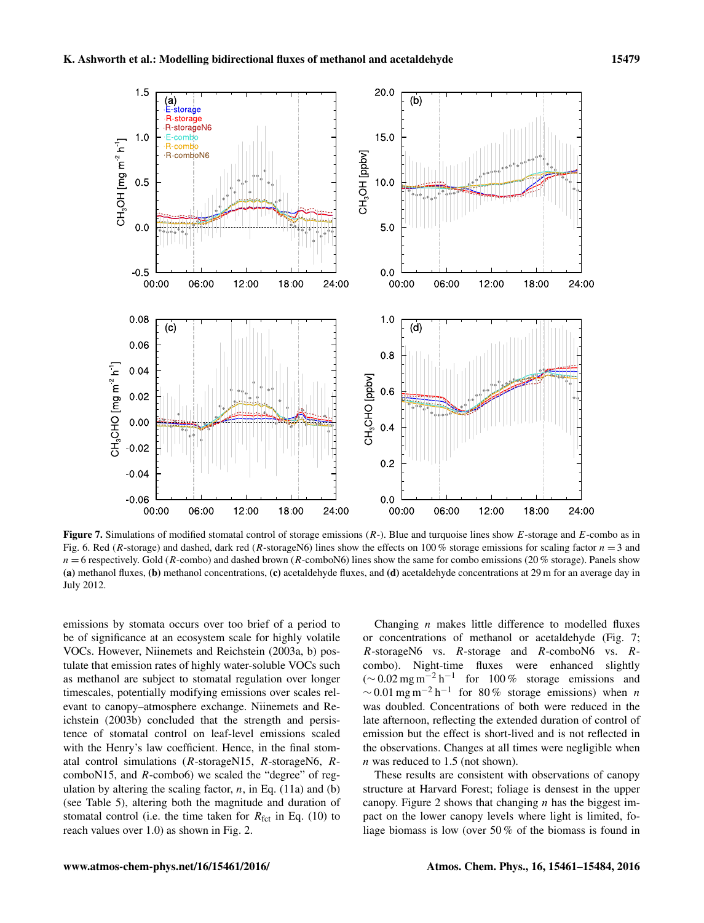

Figure 7. Simulations of modified stomatal control of storage emissions  $(R<sub>-</sub>)$ . Blue and turquoise lines show E-storage and E-combo as in Fig. 6. Red (R-storage) and dashed, dark red (R-storageN6) lines show the effects on 100% storage emissions for scaling factor  $n = 3$  and  $n = 6$  respectively. Gold (R-combo) and dashed brown (R-comboN6) lines show the same for combo emissions (20% storage). Panels show (a) methanol fluxes, (b) methanol concentrations, (c) acetaldehyde fluxes, and (d) acetaldehyde concentrations at 29 m for an average day in July 2012.

emissions by stomata occurs over too brief of a period to be of significance at an ecosystem scale for highly volatile VOCs. However, Niinemets and Reichstein (2003a, b) postulate that emission rates of highly water-soluble VOCs such as methanol are subject to stomatal regulation over longer timescales, potentially modifying emissions over scales relevant to canopy–atmosphere exchange. Niinemets and Reichstein (2003b) concluded that the strength and persistence of stomatal control on leaf-level emissions scaled with the Henry's law coefficient. Hence, in the final stomatal control simulations (R-storageN15, R-storageN6, RcomboN15, and  $R$ -combo6) we scaled the "degree" of regulation by altering the scaling factor,  $n$ , in Eq. (11a) and (b) (see Table 5), altering both the magnitude and duration of stomatal control (i.e. the time taken for  $R_{\text{fct}}$  in Eq. (10) to reach values over 1.0) as shown in Fig. 2.

Changing  $n$  makes little difference to modelled fluxes or concentrations of methanol or acetaldehyde (Fig. 7; R-storageN6 vs. R-storage and R-comboN6 vs. Rcombo). Night-time fluxes were enhanced slightly  $(\sim 0.02 \text{ mg m}^{-2} \text{ h}^{-1}$  for 100% storage emissions and  $\sim$  0.01 mg m<sup>-2</sup> h<sup>-1</sup> for 80% storage emissions) when n was doubled. Concentrations of both were reduced in the late afternoon, reflecting the extended duration of control of emission but the effect is short-lived and is not reflected in the observations. Changes at all times were negligible when n was reduced to 1.5 (not shown).

These results are consistent with observations of canopy structure at Harvard Forest; foliage is densest in the upper canopy. Figure 2 shows that changing  $n$  has the biggest impact on the lower canopy levels where light is limited, foliage biomass is low (over 50 % of the biomass is found in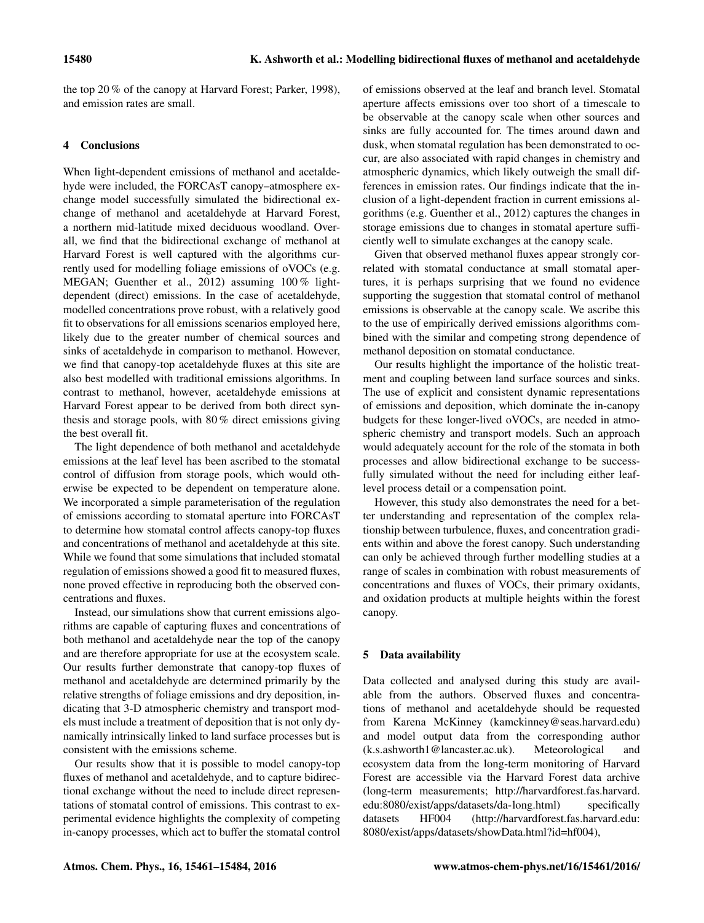the top 20 % of the canopy at Harvard Forest; Parker, 1998), and emission rates are small.

# 4 Conclusions

When light-dependent emissions of methanol and acetaldehyde were included, the FORCAsT canopy–atmosphere exchange model successfully simulated the bidirectional exchange of methanol and acetaldehyde at Harvard Forest, a northern mid-latitude mixed deciduous woodland. Overall, we find that the bidirectional exchange of methanol at Harvard Forest is well captured with the algorithms currently used for modelling foliage emissions of oVOCs (e.g. MEGAN; Guenther et al., 2012) assuming 100 % lightdependent (direct) emissions. In the case of acetaldehyde, modelled concentrations prove robust, with a relatively good fit to observations for all emissions scenarios employed here, likely due to the greater number of chemical sources and sinks of acetaldehyde in comparison to methanol. However, we find that canopy-top acetaldehyde fluxes at this site are also best modelled with traditional emissions algorithms. In contrast to methanol, however, acetaldehyde emissions at Harvard Forest appear to be derived from both direct synthesis and storage pools, with 80 % direct emissions giving the best overall fit.

The light dependence of both methanol and acetaldehyde emissions at the leaf level has been ascribed to the stomatal control of diffusion from storage pools, which would otherwise be expected to be dependent on temperature alone. We incorporated a simple parameterisation of the regulation of emissions according to stomatal aperture into FORCAsT to determine how stomatal control affects canopy-top fluxes and concentrations of methanol and acetaldehyde at this site. While we found that some simulations that included stomatal regulation of emissions showed a good fit to measured fluxes, none proved effective in reproducing both the observed concentrations and fluxes.

Instead, our simulations show that current emissions algorithms are capable of capturing fluxes and concentrations of both methanol and acetaldehyde near the top of the canopy and are therefore appropriate for use at the ecosystem scale. Our results further demonstrate that canopy-top fluxes of methanol and acetaldehyde are determined primarily by the relative strengths of foliage emissions and dry deposition, indicating that 3-D atmospheric chemistry and transport models must include a treatment of deposition that is not only dynamically intrinsically linked to land surface processes but is consistent with the emissions scheme.

Our results show that it is possible to model canopy-top fluxes of methanol and acetaldehyde, and to capture bidirectional exchange without the need to include direct representations of stomatal control of emissions. This contrast to experimental evidence highlights the complexity of competing in-canopy processes, which act to buffer the stomatal control of emissions observed at the leaf and branch level. Stomatal aperture affects emissions over too short of a timescale to be observable at the canopy scale when other sources and sinks are fully accounted for. The times around dawn and dusk, when stomatal regulation has been demonstrated to occur, are also associated with rapid changes in chemistry and atmospheric dynamics, which likely outweigh the small differences in emission rates. Our findings indicate that the inclusion of a light-dependent fraction in current emissions algorithms (e.g. Guenther et al., 2012) captures the changes in storage emissions due to changes in stomatal aperture sufficiently well to simulate exchanges at the canopy scale.

Given that observed methanol fluxes appear strongly correlated with stomatal conductance at small stomatal apertures, it is perhaps surprising that we found no evidence supporting the suggestion that stomatal control of methanol emissions is observable at the canopy scale. We ascribe this to the use of empirically derived emissions algorithms combined with the similar and competing strong dependence of methanol deposition on stomatal conductance.

Our results highlight the importance of the holistic treatment and coupling between land surface sources and sinks. The use of explicit and consistent dynamic representations of emissions and deposition, which dominate the in-canopy budgets for these longer-lived oVOCs, are needed in atmospheric chemistry and transport models. Such an approach would adequately account for the role of the stomata in both processes and allow bidirectional exchange to be successfully simulated without the need for including either leaflevel process detail or a compensation point.

However, this study also demonstrates the need for a better understanding and representation of the complex relationship between turbulence, fluxes, and concentration gradients within and above the forest canopy. Such understanding can only be achieved through further modelling studies at a range of scales in combination with robust measurements of concentrations and fluxes of VOCs, their primary oxidants, and oxidation products at multiple heights within the forest canopy.

# 5 Data availability

Data collected and analysed during this study are available from the authors. Observed fluxes and concentrations of methanol and acetaldehyde should be requested from Karena McKinney (kamckinney@seas.harvard.edu) and model output data from the corresponding author (k.s.ashworth1@lancaster.ac.uk). Meteorological and ecosystem data from the long-term monitoring of Harvard Forest are accessible via the Harvard Forest data archive (long-term measurements; [http://harvardforest.fas.harvard.](http://harvardforest.fas.harvard.edu:8080/exist/apps/datasets/da-long.html) [edu:8080/exist/apps/datasets/da-long.html\)](http://harvardforest.fas.harvard.edu:8080/exist/apps/datasets/da-long.html) specifically datasets HF004 [\(http://harvardforest.fas.harvard.edu:](http://harvardforest.fas.harvard.edu:8080/exist/apps/datasets/showData.html?id=hf004) [8080/exist/apps/datasets/showData.html?id=hf004\)](http://harvardforest.fas.harvard.edu:8080/exist/apps/datasets/showData.html?id=hf004),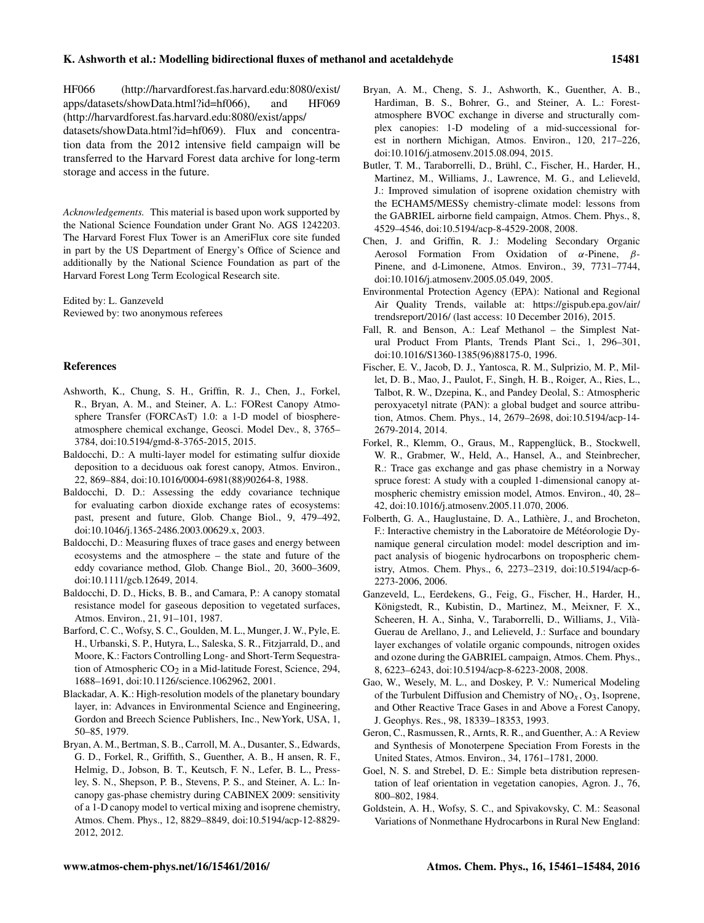## K. Ashworth et al.: Modelling bidirectional fluxes of methanol and acetaldehyde 15481

HF066 [\(http://harvardforest.fas.harvard.edu:8080/exist/](http://harvardforest.fas.harvard.edu:8080/exist/apps/datasets/showData.html?id=hf066) [apps/datasets/showData.html?id=hf066\)](http://harvardforest.fas.harvard.edu:8080/exist/apps/datasets/showData.html?id=hf066), and HF069 [\(http://harvardforest.fas.harvard.edu:8080/exist/apps/](http://harvardforest.fas.harvard.edu:8080/exist/apps/datasets/showData.html?id=hf069) [datasets/showData.html?id=hf069\)](http://harvardforest.fas.harvard.edu:8080/exist/apps/datasets/showData.html?id=hf069). Flux and concentration data from the 2012 intensive field campaign will be transferred to the Harvard Forest data archive for long-term storage and access in the future.

*Acknowledgements.* This material is based upon work supported by the National Science Foundation under Grant No. AGS 1242203. The Harvard Forest Flux Tower is an AmeriFlux core site funded in part by the US Department of Energy's Office of Science and additionally by the National Science Foundation as part of the Harvard Forest Long Term Ecological Research site.

Edited by: L. Ganzeveld Reviewed by: two anonymous referees

## References

- Ashworth, K., Chung, S. H., Griffin, R. J., Chen, J., Forkel, R., Bryan, A. M., and Steiner, A. L.: FORest Canopy Atmosphere Transfer (FORCAsT) 1.0: a 1-D model of biosphereatmosphere chemical exchange, Geosci. Model Dev., 8, 3765– 3784, doi[:10.5194/gmd-8-3765-2015,](http://dx.doi.org/10.5194/gmd-8-3765-2015) 2015.
- Baldocchi, D.: A multi-layer model for estimating sulfur dioxide deposition to a deciduous oak forest canopy, Atmos. Environ., 22, 869–884, doi[:10.1016/0004-6981\(88\)90264-8,](http://dx.doi.org/10.1016/0004-6981(88)90264-8) 1988.
- Baldocchi, D. D.: Assessing the eddy covariance technique for evaluating carbon dioxide exchange rates of ecosystems: past, present and future, Glob. Change Biol., 9, 479–492, doi[:10.1046/j.1365-2486.2003.00629.x,](http://dx.doi.org/10.1046/j.1365-2486.2003.00629.x) 2003.
- Baldocchi, D.: Measuring fluxes of trace gases and energy between ecosystems and the atmosphere – the state and future of the eddy covariance method, Glob. Change Biol., 20, 3600–3609, doi[:10.1111/gcb.12649,](http://dx.doi.org/10.1111/gcb.12649) 2014.
- Baldocchi, D. D., Hicks, B. B., and Camara, P.: A canopy stomatal resistance model for gaseous deposition to vegetated surfaces, Atmos. Environ., 21, 91–101, 1987.
- Barford, C. C., Wofsy, S. C., Goulden, M. L., Munger, J. W., Pyle, E. H., Urbanski, S. P., Hutyra, L., Saleska, S. R., Fitzjarrald, D., and Moore, K.: Factors Controlling Long- and Short-Term Sequestration of Atmospheric  $CO<sub>2</sub>$  in a Mid-latitude Forest, Science, 294, 1688–1691, doi[:10.1126/science.1062962,](http://dx.doi.org/10.1126/science.1062962) 2001.
- Blackadar, A. K.: High-resolution models of the planetary boundary layer, in: Advances in Environmental Science and Engineering, Gordon and Breech Science Publishers, Inc., NewYork, USA, 1, 50–85, 1979.
- Bryan, A. M., Bertman, S. B., Carroll, M. A., Dusanter, S., Edwards, G. D., Forkel, R., Griffith, S., Guenther, A. B., H ansen, R. F., Helmig, D., Jobson, B. T., Keutsch, F. N., Lefer, B. L., Pressley, S. N., Shepson, P. B., Stevens, P. S., and Steiner, A. L.: Incanopy gas-phase chemistry during CABINEX 2009: sensitivity of a 1-D canopy model to vertical mixing and isoprene chemistry, Atmos. Chem. Phys., 12, 8829–8849, doi[:10.5194/acp-12-8829-](http://dx.doi.org/10.5194/acp-12-8829-2012) [2012,](http://dx.doi.org/10.5194/acp-12-8829-2012) 2012.
- Bryan, A. M., Cheng, S. J., Ashworth, K., Guenther, A. B., Hardiman, B. S., Bohrer, G., and Steiner, A. L.: Forestatmosphere BVOC exchange in diverse and structurally complex canopies: 1-D modeling of a mid-successional forest in northern Michigan, Atmos. Environ., 120, 217–226, doi[:10.1016/j.atmosenv.2015.08.094,](http://dx.doi.org/10.1016/j.atmosenv.2015.08.094) 2015.
- Butler, T. M., Taraborrelli, D., Brühl, C., Fischer, H., Harder, H., Martinez, M., Williams, J., Lawrence, M. G., and Lelieveld, J.: Improved simulation of isoprene oxidation chemistry with the ECHAM5/MESSy chemistry-climate model: lessons from the GABRIEL airborne field campaign, Atmos. Chem. Phys., 8, 4529–4546, doi[:10.5194/acp-8-4529-2008,](http://dx.doi.org/10.5194/acp-8-4529-2008) 2008.
- Chen, J. and Griffin, R. J.: Modeling Secondary Organic Aerosol Formation From Oxidation of α-Pinene, β-Pinene, and d-Limonene, Atmos. Environ., 39, 7731–7744, doi[:10.1016/j.atmosenv.2005.05.049,](http://dx.doi.org/10.1016/j.atmosenv.2005.05.049) 2005.
- Environmental Protection Agency (EPA): National and Regional Air Quality Trends, vailable at: [https://gispub.epa.gov/air/](https://gispub.epa.gov/air/trendsreport/2016/) [trendsreport/2016/](https://gispub.epa.gov/air/trendsreport/2016/) (last access: 10 December 2016), 2015.
- Fall, R. and Benson, A.: Leaf Methanol the Simplest Natural Product From Plants, Trends Plant Sci., 1, 296–301, doi[:10.1016/S1360-1385\(96\)88175-0,](http://dx.doi.org/10.1016/S1360-1385(96)88175-0) 1996.
- Fischer, E. V., Jacob, D. J., Yantosca, R. M., Sulprizio, M. P., Millet, D. B., Mao, J., Paulot, F., Singh, H. B., Roiger, A., Ries, L., Talbot, R. W., Dzepina, K., and Pandey Deolal, S.: Atmospheric peroxyacetyl nitrate (PAN): a global budget and source attribution, Atmos. Chem. Phys., 14, 2679–2698, doi[:10.5194/acp-14-](http://dx.doi.org/10.5194/acp-14-2679-2014) [2679-2014,](http://dx.doi.org/10.5194/acp-14-2679-2014) 2014.
- Forkel, R., Klemm, O., Graus, M., Rappenglück, B., Stockwell, W. R., Grabmer, W., Held, A., Hansel, A., and Steinbrecher, R.: Trace gas exchange and gas phase chemistry in a Norway spruce forest: A study with a coupled 1-dimensional canopy atmospheric chemistry emission model, Atmos. Environ., 40, 28– 42, doi[:10.1016/j.atmosenv.2005.11.070,](http://dx.doi.org/10.1016/j.atmosenv.2005.11.070) 2006.
- Folberth, G. A., Hauglustaine, D. A., Lathière, J., and Brocheton, F.: Interactive chemistry in the Laboratoire de Météorologie Dynamique general circulation model: model description and impact analysis of biogenic hydrocarbons on tropospheric chemistry, Atmos. Chem. Phys., 6, 2273–2319, doi[:10.5194/acp-6-](http://dx.doi.org/10.5194/acp-6-2273-2006) [2273-2006,](http://dx.doi.org/10.5194/acp-6-2273-2006) 2006.
- Ganzeveld, L., Eerdekens, G., Feig, G., Fischer, H., Harder, H., Königstedt, R., Kubistin, D., Martinez, M., Meixner, F. X., Scheeren, H. A., Sinha, V., Taraborrelli, D., Williams, J., Vilà-Guerau de Arellano, J., and Lelieveld, J.: Surface and boundary layer exchanges of volatile organic compounds, nitrogen oxides and ozone during the GABRIEL campaign, Atmos. Chem. Phys., 8, 6223–6243, doi[:10.5194/acp-8-6223-2008,](http://dx.doi.org/10.5194/acp-8-6223-2008) 2008.
- Gao, W., Wesely, M. L., and Doskey, P. V.: Numerical Modeling of the Turbulent Diffusion and Chemistry of  $NO<sub>x</sub>$ ,  $O<sub>3</sub>$ , Isoprene, and Other Reactive Trace Gases in and Above a Forest Canopy, J. Geophys. Res., 98, 18339–18353, 1993.
- Geron, C., Rasmussen, R., Arnts, R. R., and Guenther, A.: A Review and Synthesis of Monoterpene Speciation From Forests in the United States, Atmos. Environ., 34, 1761–1781, 2000.
- Goel, N. S. and Strebel, D. E.: Simple beta distribution representation of leaf orientation in vegetation canopies, Agron. J., 76, 800–802, 1984.
- Goldstein, A. H., Wofsy, S. C., and Spivakovsky, C. M.: Seasonal Variations of Nonmethane Hydrocarbons in Rural New England: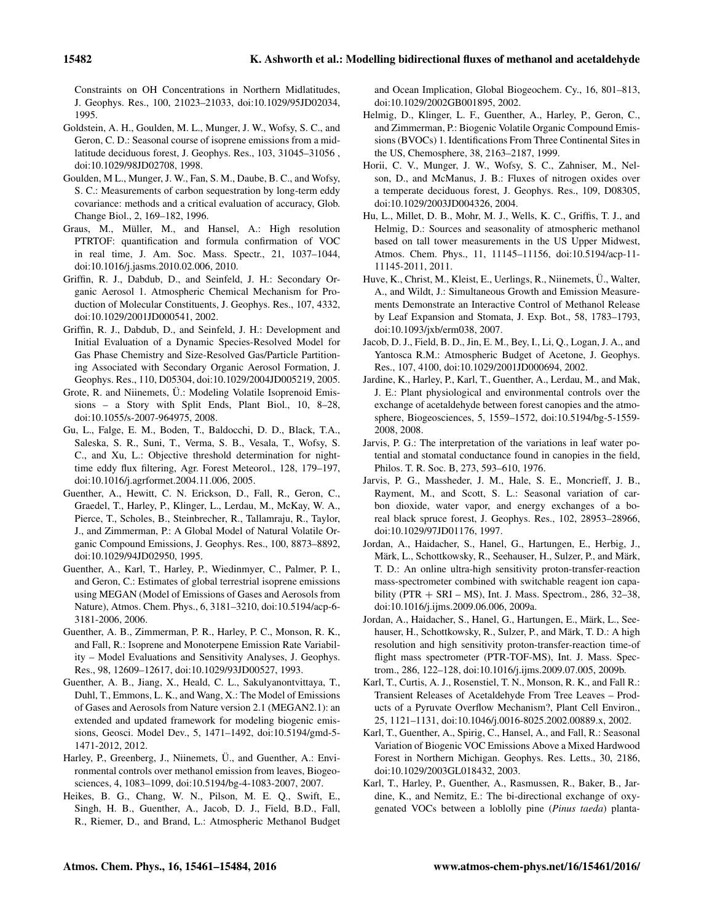Constraints on OH Concentrations in Northern Midlatitudes, J. Geophys. Res., 100, 21023–21033, doi[:10.1029/95JD02034,](http://dx.doi.org/10.1029/95JD02034) 1995.

- Goldstein, A. H., Goulden, M. L., Munger, J. W., Wofsy, S. C., and Geron, C. D.: Seasonal course of isoprene emissions from a midlatitude deciduous forest, J. Geophys. Res., 103, 31045–31056 , doi[:10.1029/98JD02708,](http://dx.doi.org/10.1029/98JD02708) 1998.
- Goulden, M L., Munger, J. W., Fan, S. M., Daube, B. C., and Wofsy, S. C.: Measurements of carbon sequestration by long-term eddy covariance: methods and a critical evaluation of accuracy, Glob. Change Biol., 2, 169–182, 1996.
- Graus, M., Müller, M., and Hansel, A.: High resolution PTRTOF: quantification and formula confirmation of VOC in real time, J. Am. Soc. Mass. Spectr., 21, 1037–1044, doi[:10.1016/j.jasms.2010.02.006,](http://dx.doi.org/10.1016/j.jasms.2010.02.006) 2010.
- Griffin, R. J., Dabdub, D., and Seinfeld, J. H.: Secondary Organic Aerosol 1. Atmospheric Chemical Mechanism for Production of Molecular Constituents, J. Geophys. Res., 107, 4332, doi[:10.1029/2001JD000541,](http://dx.doi.org/10.1029/2001JD000541) 2002.
- Griffin, R. J., Dabdub, D., and Seinfeld, J. H.: Development and Initial Evaluation of a Dynamic Species-Resolved Model for Gas Phase Chemistry and Size-Resolved Gas/Particle Partitioning Associated with Secondary Organic Aerosol Formation, J. Geophys. Res., 110, D05304, doi[:10.1029/2004JD005219,](http://dx.doi.org/10.1029/2004JD005219) 2005.
- Grote, R. and Niinemets, Ü.: Modeling Volatile Isoprenoid Emissions – a Story with Split Ends, Plant Biol., 10, 8–28, doi[:10.1055/s-2007-964975,](http://dx.doi.org/10.1055/s-2007-964975) 2008.
- Gu, L., Falge, E. M., Boden, T., Baldocchi, D. D., Black, T.A., Saleska, S. R., Suni, T., Verma, S. B., Vesala, T., Wofsy, S. C., and Xu, L.: Objective threshold determination for nighttime eddy flux filtering, Agr. Forest Meteorol., 128, 179–197, doi[:10.1016/j.agrformet.2004.11.006,](http://dx.doi.org/10.1016/j.agrformet.2004.11.006) 2005.
- Guenther, A., Hewitt, C. N. Erickson, D., Fall, R., Geron, C., Graedel, T., Harley, P., Klinger, L., Lerdau, M., McKay, W. A., Pierce, T., Scholes, B., Steinbrecher, R., Tallamraju, R., Taylor, J., and Zimmerman, P.: A Global Model of Natural Volatile Organic Compound Emissions, J. Geophys. Res., 100, 8873–8892, doi[:10.1029/94JD02950,](http://dx.doi.org/10.1029/94JD02950) 1995.
- Guenther, A., Karl, T., Harley, P., Wiedinmyer, C., Palmer, P. I., and Geron, C.: Estimates of global terrestrial isoprene emissions using MEGAN (Model of Emissions of Gases and Aerosols from Nature), Atmos. Chem. Phys., 6, 3181–3210, doi[:10.5194/acp-6-](http://dx.doi.org/10.5194/acp-6-3181-2006) [3181-2006,](http://dx.doi.org/10.5194/acp-6-3181-2006) 2006.
- Guenther, A. B., Zimmerman, P. R., Harley, P. C., Monson, R. K., and Fall, R.: Isoprene and Monoterpene Emission Rate Variability – Model Evaluations and Sensitivity Analyses, J. Geophys. Res., 98, 12609–12617, doi[:10.1029/93JD00527,](http://dx.doi.org/10.1029/93JD00527) 1993.
- Guenther, A. B., Jiang, X., Heald, C. L., Sakulyanontvittaya, T., Duhl, T., Emmons, L. K., and Wang, X.: The Model of Emissions of Gases and Aerosols from Nature version 2.1 (MEGAN2.1): an extended and updated framework for modeling biogenic emissions, Geosci. Model Dev., 5, 1471–1492, doi[:10.5194/gmd-5-](http://dx.doi.org/10.5194/gmd-5-1471-2012) [1471-2012,](http://dx.doi.org/10.5194/gmd-5-1471-2012) 2012.
- Harley, P., Greenberg, J., Niinemets, Ü., and Guenther, A.: Environmental controls over methanol emission from leaves, Biogeosciences, 4, 1083–1099, doi[:10.5194/bg-4-1083-2007,](http://dx.doi.org/10.5194/bg-4-1083-2007) 2007.
- Heikes, B. G., Chang, W. N., Pilson, M. E. Q., Swift, E., Singh, H. B., Guenther, A., Jacob, D. J., Field, B.D., Fall, R., Riemer, D., and Brand, L.: Atmospheric Methanol Budget

and Ocean Implication, Global Biogeochem. Cy., 16, 801–813, doi[:10.1029/2002GB001895,](http://dx.doi.org/10.1029/2002GB001895) 2002.

- Helmig, D., Klinger, L. F., Guenther, A., Harley, P., Geron, C., and Zimmerman, P.: Biogenic Volatile Organic Compound Emissions (BVOCs) 1. Identifications From Three Continental Sites in the US, Chemosphere, 38, 2163–2187, 1999.
- Horii, C. V., Munger, J. W., Wofsy, S. C., Zahniser, M., Nelson, D., and McManus, J. B.: Fluxes of nitrogen oxides over a temperate deciduous forest, J. Geophys. Res., 109, D08305, doi[:10.1029/2003JD004326,](http://dx.doi.org/10.1029/2003JD004326) 2004.
- Hu, L., Millet, D. B., Mohr, M. J., Wells, K. C., Griffis, T. J., and Helmig, D.: Sources and seasonality of atmospheric methanol based on tall tower measurements in the US Upper Midwest, Atmos. Chem. Phys., 11, 11145–11156, doi[:10.5194/acp-11-](http://dx.doi.org/10.5194/acp-11-11145-2011) [11145-2011,](http://dx.doi.org/10.5194/acp-11-11145-2011) 2011.
- Huve, K., Christ, M., Kleist, E., Uerlings, R., Niinemets, Ü., Walter, A., and Wildt, J.: Simultaneous Growth and Emission Measurements Demonstrate an Interactive Control of Methanol Release by Leaf Expansion and Stomata, J. Exp. Bot., 58, 1783–1793, doi[:10.1093/jxb/erm038,](http://dx.doi.org/10.1093/jxb/erm038) 2007.
- Jacob, D. J., Field, B. D., Jin, E. M., Bey, I., Li, Q., Logan, J. A., and Yantosca R.M.: Atmospheric Budget of Acetone, J. Geophys. Res., 107, 4100, doi[:10.1029/2001JD000694,](http://dx.doi.org/10.1029/2001JD000694) 2002.
- Jardine, K., Harley, P., Karl, T., Guenther, A., Lerdau, M., and Mak, J. E.: Plant physiological and environmental controls over the exchange of acetaldehyde between forest canopies and the atmosphere, Biogeosciences, 5, 1559–1572, doi[:10.5194/bg-5-1559-](http://dx.doi.org/10.5194/bg-5-1559-2008) [2008,](http://dx.doi.org/10.5194/bg-5-1559-2008) 2008.
- Jarvis, P. G.: The interpretation of the variations in leaf water potential and stomatal conductance found in canopies in the field, Philos. T. R. Soc. B, 273, 593–610, 1976.
- Jarvis, P. G., Massheder, J. M., Hale, S. E., Moncrieff, J. B., Rayment, M., and Scott, S. L.: Seasonal variation of carbon dioxide, water vapor, and energy exchanges of a boreal black spruce forest, J. Geophys. Res., 102, 28953–28966, doi[:10.1029/97JD01176,](http://dx.doi.org/10.1029/97JD01176) 1997.
- Jordan, A., Haidacher, S., Hanel, G., Hartungen, E., Herbig, J., Märk, L., Schottkowsky, R., Seehauser, H., Sulzer, P., and Märk, T. D.: An online ultra-high sensitivity proton-transfer-reaction mass-spectrometer combined with switchable reagent ion capability ( $PTR + SRI - MS$ ), Int. J. Mass. Spectrom., 286, 32–38, doi[:10.1016/j.ijms.2009.06.006,](http://dx.doi.org/10.1016/j.ijms.2009.06.006) 2009a.
- Jordan, A., Haidacher, S., Hanel, G., Hartungen, E., Märk, L., Seehauser, H., Schottkowsky, R., Sulzer, P., and Märk, T. D.: A high resolution and high sensitivity proton-transfer-reaction time-of flight mass spectrometer (PTR-TOF-MS), Int. J. Mass. Spectrom., 286, 122–128, doi[:10.1016/j.ijms.2009.07.005,](http://dx.doi.org/10.1016/j.ijms.2009.07.005) 2009b.
- Karl, T., Curtis, A. J., Rosenstiel, T. N., Monson, R. K., and Fall R.: Transient Releases of Acetaldehyde From Tree Leaves – Products of a Pyruvate Overflow Mechanism?, Plant Cell Environ., 25, 1121–1131, doi[:10.1046/j.0016-8025.2002.00889.x,](http://dx.doi.org/10.1046/j.0016-8025.2002.00889.x) 2002.
- Karl, T., Guenther, A., Spirig, C., Hansel, A., and Fall, R.: Seasonal Variation of Biogenic VOC Emissions Above a Mixed Hardwood Forest in Northern Michigan. Geophys. Res. Letts., 30, 2186, doi[:10.1029/2003GL018432,](http://dx.doi.org/10.1029/2003GL018432) 2003.
- Karl, T., Harley, P., Guenther, A., Rasmussen, R., Baker, B., Jardine, K., and Nemitz, E.: The bi-directional exchange of oxygenated VOCs between a loblolly pine (*Pinus taeda*) planta-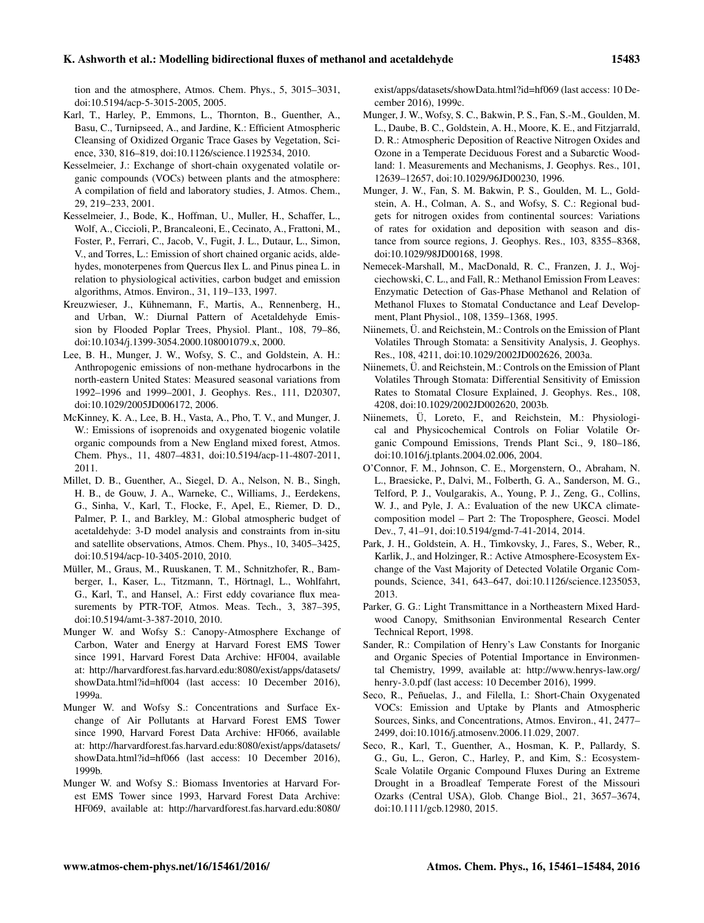tion and the atmosphere, Atmos. Chem. Phys., 5, 3015–3031, doi[:10.5194/acp-5-3015-2005,](http://dx.doi.org/10.5194/acp-5-3015-2005) 2005.

- Karl, T., Harley, P., Emmons, L., Thornton, B., Guenther, A., Basu, C., Turnipseed, A., and Jardine, K.: Efficient Atmospheric Cleansing of Oxidized Organic Trace Gases by Vegetation, Science, 330, 816–819, doi[:10.1126/science.1192534,](http://dx.doi.org/10.1126/science.1192534) 2010.
- Kesselmeier, J.: Exchange of short-chain oxygenated volatile organic compounds (VOCs) between plants and the atmosphere: A compilation of field and laboratory studies, J. Atmos. Chem., 29, 219–233, 2001.
- Kesselmeier, J., Bode, K., Hoffman, U., Muller, H., Schaffer, L., Wolf, A., Ciccioli, P., Brancaleoni, E., Cecinato, A., Frattoni, M., Foster, P., Ferrari, C., Jacob, V., Fugit, J. L., Dutaur, L., Simon, V., and Torres, L.: Emission of short chained organic acids, aldehydes, monoterpenes from Quercus Ilex L. and Pinus pinea L. in relation to physiological activities, carbon budget and emission algorithms, Atmos. Environ., 31, 119–133, 1997.
- Kreuzwieser, J., Kühnemann, F., Martis, A., Rennenberg, H., and Urban, W.: Diurnal Pattern of Acetaldehyde Emission by Flooded Poplar Trees, Physiol. Plant., 108, 79–86, doi[:10.1034/j.1399-3054.2000.108001079.x,](http://dx.doi.org/10.1034/j.1399-3054.2000.108001079.x) 2000.
- Lee, B. H., Munger, J. W., Wofsy, S. C., and Goldstein, A. H.: Anthropogenic emissions of non-methane hydrocarbons in the north-eastern United States: Measured seasonal variations from 1992–1996 and 1999–2001, J. Geophys. Res., 111, D20307, doi[:10.1029/2005JD006172,](http://dx.doi.org/10.1029/2005JD006172) 2006.
- McKinney, K. A., Lee, B. H., Vasta, A., Pho, T. V., and Munger, J. W.: Emissions of isoprenoids and oxygenated biogenic volatile organic compounds from a New England mixed forest, Atmos. Chem. Phys., 11, 4807–4831, doi[:10.5194/acp-11-4807-2011,](http://dx.doi.org/10.5194/acp-11-4807-2011) 2011.
- Millet, D. B., Guenther, A., Siegel, D. A., Nelson, N. B., Singh, H. B., de Gouw, J. A., Warneke, C., Williams, J., Eerdekens, G., Sinha, V., Karl, T., Flocke, F., Apel, E., Riemer, D. D., Palmer, P. I., and Barkley, M.: Global atmospheric budget of acetaldehyde: 3-D model analysis and constraints from in-situ and satellite observations, Atmos. Chem. Phys., 10, 3405–3425, doi[:10.5194/acp-10-3405-2010,](http://dx.doi.org/10.5194/acp-10-3405-2010) 2010.
- Müller, M., Graus, M., Ruuskanen, T. M., Schnitzhofer, R., Bamberger, I., Kaser, L., Titzmann, T., Hörtnagl, L., Wohlfahrt, G., Karl, T., and Hansel, A.: First eddy covariance flux measurements by PTR-TOF, Atmos. Meas. Tech., 3, 387–395, doi[:10.5194/amt-3-387-2010,](http://dx.doi.org/10.5194/amt-3-387-2010) 2010.
- Munger W. and Wofsy S.: Canopy-Atmosphere Exchange of Carbon, Water and Energy at Harvard Forest EMS Tower since 1991, Harvard Forest Data Archive: HF004, available at: [http://harvardforest.fas.harvard.edu:8080/exist/apps/datasets/](http://harvardforest.fas.harvard.edu:8080/exist/apps/datasets/showData.html?id=hf004) [showData.html?id=hf004](http://harvardforest.fas.harvard.edu:8080/exist/apps/datasets/showData.html?id=hf004) (last access: 10 December 2016), 1999a.
- Munger W. and Wofsy S.: Concentrations and Surface Exchange of Air Pollutants at Harvard Forest EMS Tower since 1990, Harvard Forest Data Archive: HF066, available at: [http://harvardforest.fas.harvard.edu:8080/exist/apps/datasets/](http://harvardforest.fas.harvard.edu:8080/exist/apps/datasets/showData.html?id=hf066) [showData.html?id=hf066](http://harvardforest.fas.harvard.edu:8080/exist/apps/datasets/showData.html?id=hf066) (last access: 10 December 2016), 1999b.
- Munger W. and Wofsy S.: Biomass Inventories at Harvard Forest EMS Tower since 1993, Harvard Forest Data Archive: HF069, available at: [http://harvardforest.fas.harvard.edu:8080/](http://harvardforest.fas.harvard.edu:8080/exist/apps/datasets/showData.html?id=hf069)

[exist/apps/datasets/showData.html?id=hf069](http://harvardforest.fas.harvard.edu:8080/exist/apps/datasets/showData.html?id=hf069) (last access: 10 December 2016), 1999c.

- Munger, J. W., Wofsy, S. C., Bakwin, P. S., Fan, S.-M., Goulden, M. L., Daube, B. C., Goldstein, A. H., Moore, K. E., and Fitzjarrald, D. R.: Atmospheric Deposition of Reactive Nitrogen Oxides and Ozone in a Temperate Deciduous Forest and a Subarctic Woodland: 1. Measurements and Mechanisms, J. Geophys. Res., 101, 12639–12657, doi[:10.1029/96JD00230,](http://dx.doi.org/10.1029/96JD00230) 1996.
- Munger, J. W., Fan, S. M. Bakwin, P. S., Goulden, M. L., Goldstein, A. H., Colman, A. S., and Wofsy, S. C.: Regional budgets for nitrogen oxides from continental sources: Variations of rates for oxidation and deposition with season and distance from source regions, J. Geophys. Res., 103, 8355–8368, doi[:10.1029/98JD00168,](http://dx.doi.org/10.1029/98JD00168) 1998.
- Nemecek-Marshall, M., MacDonald, R. C., Franzen, J. J., Wojciechowski, C. L., and Fall, R.: Methanol Emission From Leaves: Enzymatic Detection of Gas-Phase Methanol and Relation of Methanol Fluxes to Stomatal Conductance and Leaf Development, Plant Physiol., 108, 1359–1368, 1995.
- Niinemets, Ü. and Reichstein, M.: Controls on the Emission of Plant Volatiles Through Stomata: a Sensitivity Analysis, J. Geophys. Res., 108, 4211, doi[:10.1029/2002JD002626,](http://dx.doi.org/10.1029/2002JD002626) 2003a.
- Niinemets, Ü. and Reichstein, M.: Controls on the Emission of Plant Volatiles Through Stomata: Differential Sensitivity of Emission Rates to Stomatal Closure Explained, J. Geophys. Res., 108, 4208, doi[:10.1029/2002JD002620,](http://dx.doi.org/10.1029/2002JD002620) 2003b.
- Niinemets, Ü, Loreto, F., and Reichstein, M.: Physiological and Physicochemical Controls on Foliar Volatile Organic Compound Emissions, Trends Plant Sci., 9, 180–186, doi[:10.1016/j.tplants.2004.02.006,](http://dx.doi.org/10.1016/j.tplants.2004.02.006) 2004.
- O'Connor, F. M., Johnson, C. E., Morgenstern, O., Abraham, N. L., Braesicke, P., Dalvi, M., Folberth, G. A., Sanderson, M. G., Telford, P. J., Voulgarakis, A., Young, P. J., Zeng, G., Collins, W. J., and Pyle, J. A.: Evaluation of the new UKCA climatecomposition model – Part 2: The Troposphere, Geosci. Model Dev., 7, 41–91, doi[:10.5194/gmd-7-41-2014,](http://dx.doi.org/10.5194/gmd-7-41-2014) 2014.
- Park, J. H., Goldstein, A. H., Timkovsky, J., Fares, S., Weber, R., Karlik, J., and Holzinger, R.: Active Atmosphere-Ecosystem Exchange of the Vast Majority of Detected Volatile Organic Compounds, Science, 341, 643–647, doi[:10.1126/science.1235053,](http://dx.doi.org/10.1126/science.1235053) 2013.
- Parker, G. G.: Light Transmittance in a Northeastern Mixed Hardwood Canopy, Smithsonian Environmental Research Center Technical Report, 1998.
- Sander, R.: Compilation of Henry's Law Constants for Inorganic and Organic Species of Potential Importance in Environmental Chemistry, 1999, available at: [http://www.henrys-law.org/](http://www.henrys-law.org/henry-3.0.pdf) [henry-3.0.pdf](http://www.henrys-law.org/henry-3.0.pdf) (last access: 10 December 2016), 1999.
- Seco, R., Peñuelas, J., and Filella, I.: Short-Chain Oxygenated VOCs: Emission and Uptake by Plants and Atmospheric Sources, Sinks, and Concentrations, Atmos. Environ., 41, 2477– 2499, doi[:10.1016/j.atmosenv.2006.11.029,](http://dx.doi.org/10.1016/j.atmosenv.2006.11.029) 2007.
- Seco, R., Karl, T., Guenther, A., Hosman, K. P., Pallardy, S. G., Gu, L., Geron, C., Harley, P., and Kim, S.: Ecosystem-Scale Volatile Organic Compound Fluxes During an Extreme Drought in a Broadleaf Temperate Forest of the Missouri Ozarks (Central USA), Glob. Change Biol., 21, 3657–3674, doi[:10.1111/gcb.12980,](http://dx.doi.org/10.1111/gcb.12980) 2015.